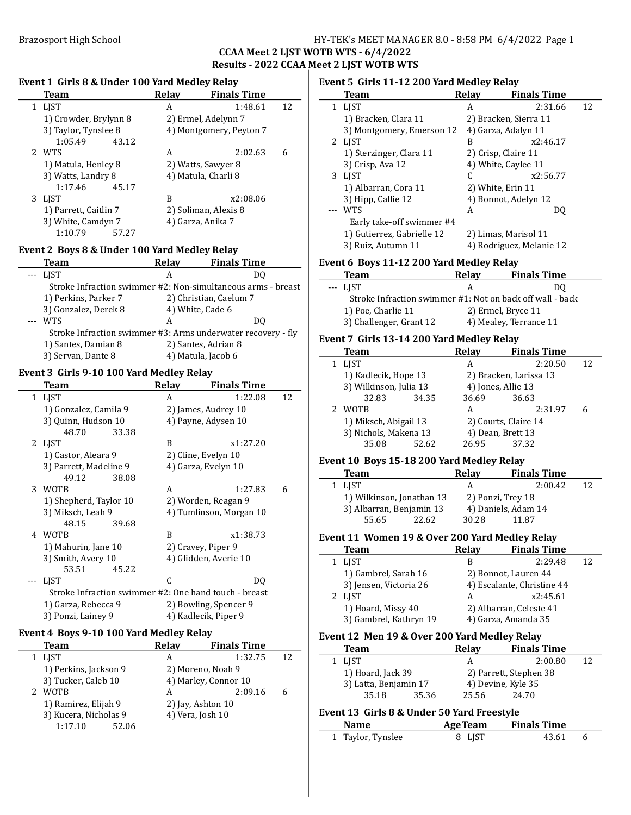## Brazosport High School School Superintendent States HY-TEK's MEET MANAGER 8.0 - 8:58 PM 6/4/2022 Page 1

### CCAA Meet 2 LJST WOTB WTS - 6/4/2022 Results - 2022 CCAA Meet 2 LJST WOTB WTS

 $\frac{1}{2}$ 

### Event 1 Girls 8 & Under 100 Yard Medley Relay Team Relay Finals Time

| 1 | LIST                  | 1:48.61<br>А            | 12 |
|---|-----------------------|-------------------------|----|
|   | 1) Crowder, Brylynn 8 | 2) Ermel, Adelynn 7     |    |
|   | 3) Taylor, Tynslee 8  | 4) Montgomery, Peyton 7 |    |
|   | 1:05.49<br>43.12      |                         |    |
|   | 2 WTS                 | 2:02.63<br>А            | 6  |
|   | 1) Matula, Henley 8   | 2) Watts, Sawyer 8      |    |
|   | 3) Watts, Landry 8    | 4) Matula, Charli 8     |    |
|   | 1:17.46<br>45.17      |                         |    |
| 3 | LIST                  | x2:08.06<br>В           |    |
|   | 1) Parrett, Caitlin 7 | 2) Soliman, Alexis 8    |    |
|   | 3) White, Camdyn 7    | 4) Garza, Anika 7       |    |
|   | 1:10.79<br>57.27      |                         |    |

### Event 2 Boys 8 & Under 100 Yard Medley Relay

| <b>Team</b>                                                                                                                                                                                                                                                                                                                                                                                                 | Relay              | <b>Finals Time</b>                                           |
|-------------------------------------------------------------------------------------------------------------------------------------------------------------------------------------------------------------------------------------------------------------------------------------------------------------------------------------------------------------------------------------------------------------|--------------------|--------------------------------------------------------------|
| <b>LIST</b><br>$\frac{1}{2} \frac{1}{2} \frac{1}{2} \frac{1}{2} \frac{1}{2} \frac{1}{2} \frac{1}{2} \frac{1}{2} \frac{1}{2} \frac{1}{2} \frac{1}{2} \frac{1}{2} \frac{1}{2} \frac{1}{2} \frac{1}{2} \frac{1}{2} \frac{1}{2} \frac{1}{2} \frac{1}{2} \frac{1}{2} \frac{1}{2} \frac{1}{2} \frac{1}{2} \frac{1}{2} \frac{1}{2} \frac{1}{2} \frac{1}{2} \frac{1}{2} \frac{1}{2} \frac{1}{2} \frac{1}{2} \frac{$ | А                  | DU                                                           |
|                                                                                                                                                                                                                                                                                                                                                                                                             |                    | Stroke Infraction swimmer #2: Non-simultaneous arms - breast |
| 1) Perkins, Parker 7                                                                                                                                                                                                                                                                                                                                                                                        |                    | 2) Christian, Caelum 7                                       |
| 3) Gonzalez, Derek 8                                                                                                                                                                                                                                                                                                                                                                                        | 4) White, Cade 6   |                                                              |
| <b>WTS</b>                                                                                                                                                                                                                                                                                                                                                                                                  | А                  | DO.                                                          |
|                                                                                                                                                                                                                                                                                                                                                                                                             |                    | Stroke Infraction swimmer #3: Arms underwater recovery - fly |
| 1) Santes, Damian 8                                                                                                                                                                                                                                                                                                                                                                                         |                    | 2) Santes, Adrian 8                                          |
| 3) Servan, Dante 8                                                                                                                                                                                                                                                                                                                                                                                          | 4) Matula, Jacob 6 |                                                              |
|                                                                                                                                                                                                                                                                                                                                                                                                             |                    |                                                              |

### Event 3 Girls 9-10 100 Yard Medley Relay

| Team                   |       | Relay                   | <b>Finals Time</b>                                    |    |
|------------------------|-------|-------------------------|-------------------------------------------------------|----|
| 1 LJST                 |       | A                       | 1:22.08                                               | 12 |
| 1) Gonzalez, Camila 9  |       |                         | 2) James, Audrey 10                                   |    |
| 3) Quinn, Hudson 10    |       |                         | 4) Payne, Adysen 10                                   |    |
| 48.70                  | 33.38 |                         |                                                       |    |
| 2 LJST                 |       | B                       | x1:27.20                                              |    |
| 1) Castor, Aleara 9    |       |                         | 2) Cline, Evelyn 10                                   |    |
| 3) Parrett, Madeline 9 |       |                         | 4) Garza, Evelyn 10                                   |    |
| 49.12                  | 38.08 |                         |                                                       |    |
| 3 WOTB                 |       | A                       | 1:27.83                                               | 6  |
| 1) Shepherd, Taylor 10 |       |                         | 2) Worden, Reagan 9                                   |    |
| 3) Miksch, Leah 9      |       | 4) Tumlinson, Morgan 10 |                                                       |    |
| 48.15                  | 39.68 |                         |                                                       |    |
| 4 WOTB                 |       | B                       | x1:38.73                                              |    |
| 1) Mahurin, Jane 10    |       |                         | 2) Cravey, Piper 9                                    |    |
| 3) Smith, Avery 10     |       |                         | 4) Glidden, Averie 10                                 |    |
| 53.51                  | 45.22 |                         |                                                       |    |
| <b>LIST</b>            |       | C                       | DO                                                    |    |
|                        |       |                         | Stroke Infraction swimmer #2: One hand touch - breast |    |
| 1) Garza, Rebecca 9    |       |                         | 2) Bowling, Spencer 9                                 |    |
| 3) Ponzi, Lainey 9     |       |                         | 4) Kadlecik, Piper 9                                  |    |

### Event 4 Boys 9-10 100 Yard Medley Relay

| Team                  | <b>Relay</b> | <b>Finals Time</b>   |    |
|-----------------------|--------------|----------------------|----|
| <b>LIST</b>           | А            | 1:32.75              | 12 |
| 1) Perkins, Jackson 9 |              | 2) Moreno, Noah 9    |    |
| 3) Tucker, Caleb 10   |              | 4) Marley, Connor 10 |    |
| <b>WOTB</b>           | А            | 2:09.16              | 6  |
| 1) Ramirez, Elijah 9  |              | 2) Jay, Ashton 10    |    |
| 3) Kucera, Nicholas 9 |              | 4) Vera, Josh 10     |    |
| 1:17.10<br>52.06      |              |                      |    |

### Event 5 Girls 11-12 200 Yard Medley Relay

| Team                       | Relav | <b>Finals Time</b>       |    |
|----------------------------|-------|--------------------------|----|
| 1 LJST                     | А     | 2:31.66                  | 12 |
| 1) Bracken, Clara 11       |       | 2) Bracken, Sierra 11    |    |
| 3) Montgomery, Emerson 12  |       | 4) Garza, Adalyn 11      |    |
| 2 LIST                     | B     | x2:46.17                 |    |
| 1) Sterzinger, Clara 11    |       | 2) Crisp, Claire 11      |    |
| 3) Crisp, Ava 12           |       | 4) White, Caylee 11      |    |
| 3 LJST                     | C     | x2:56.77                 |    |
| 1) Albarran, Cora 11       |       | 2) White, Erin 11        |    |
| 3) Hipp, Callie 12         |       | 4) Bonnot, Adelyn 12     |    |
| <b>WTS</b>                 | A     | DO                       |    |
| Early take-off swimmer #4  |       |                          |    |
| 1) Gutierrez, Gabrielle 12 |       | 2) Limas, Marisol 11     |    |
| 3) Ruiz, Autumn 11         |       | 4) Rodriguez, Melanie 12 |    |

### Event 6 Boys 11-12 200 Yard Medley Relay

| <b>Team</b>                                               | <b>Relay</b>       | <b>Finals Time</b>     |
|-----------------------------------------------------------|--------------------|------------------------|
| --- LIST                                                  |                    | DO                     |
| Stroke Infraction swimmer #1: Not on back off wall - back |                    |                        |
| 1) Poe, Charlie 11                                        | 2) Ermel, Bryce 11 |                        |
| 3) Challenger, Grant 12                                   |                    | 4) Mealey, Terrance 11 |

### Event 7 Girls 13-14 200 Yard Medley Relay

| <b>Team</b>            |       | Relay | <b>Finals Time</b>     |    |
|------------------------|-------|-------|------------------------|----|
| 1 LIST                 |       | А     | 2:20.50                | 12 |
| 1) Kadlecik, Hope 13   |       |       | 2) Bracken, Larissa 13 |    |
| 3) Wilkinson, Julia 13 |       |       | 4) Jones, Allie 13     |    |
| 32.83                  | 34.35 | 36.69 | 36.63                  |    |
| WOTB                   |       | А     | 2:31.97                |    |
| 1) Miksch, Abigail 13  |       |       | 2) Courts, Claire 14   |    |
| 3) Nichols, Makena 13  |       |       | 4) Dean, Brett 13      |    |
| 35.08                  | 52.62 | 26.95 | 37.32                  |    |
|                        |       |       |                        |    |

### Event 10 Boys 15-18 200 Yard Medley Relay

| <b>Team</b>               |       | Relay | <b>Finals Time</b>  |    |
|---------------------------|-------|-------|---------------------|----|
| 1 LIST                    |       |       | 2:00.42             | 12 |
| 1) Wilkinson, Jonathan 13 |       |       | 2) Ponzi, Trey 18   |    |
| 3) Albarran, Benjamin 13  |       |       | 4) Daniels, Adam 14 |    |
| 55.65                     | 22.62 | 30.28 | 11.87               |    |

### Event 11 Women 19 & Over 200 Yard Medley Relay

| Team                   | <b>Relay</b> | <b>Finals Time</b>         |    |
|------------------------|--------------|----------------------------|----|
| <b>LIST</b>            | В            | 2:29.48                    | 12 |
| 1) Gambrel, Sarah 16   |              | 2) Bonnot, Lauren 44       |    |
| 3) Jensen, Victoria 26 |              | 4) Escalante, Christine 44 |    |
| 2 LIST                 | А            | x2:45.61                   |    |
| 1) Hoard, Missy 40     |              | 2) Albarran, Celeste 41    |    |
| 3) Gambrel, Kathryn 19 |              | 4) Garza, Amanda 35        |    |

### Event 12 Men 19 & Over 200 Yard Medley Relay

| <b>Team</b>           |       | Relay | <b>Finals Time</b>     |    |
|-----------------------|-------|-------|------------------------|----|
| 1 LIST                |       | А     | 2:00.80                | 12 |
| 1) Hoard, Jack 39     |       |       | 2) Parrett, Stephen 38 |    |
| 3) Latta, Benjamin 17 |       |       | 4) Devine, Kyle 35     |    |
| 35.18                 | 35.36 | 25.56 | 24.70                  |    |

### Event 13 Girls 8 & Under 50 Yard Freestyle

| <b>Name</b>       | <b>AgeTeam</b> | <b>Finals Time</b> |  |
|-------------------|----------------|--------------------|--|
| 1 Taylor, Tynslee | 8 LIST         | 43.61              |  |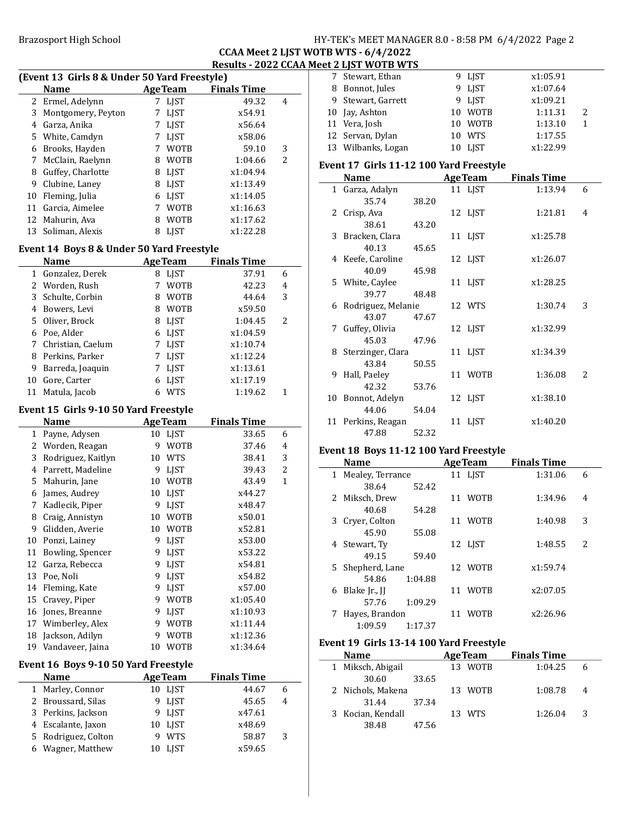### Brazosport High School School Superintendent States HY-TEK's MEET MANAGER 8.0 - 8:58 PM 6/4/2022 Page 2

### CCAA Meet 2 LJST WOTB WTS - 6/4/2022 Results - 2022 CCAA Meet 2 LJST WOTB WTS

| (Event 13 Girls 8 & Under 50 Yard Freestyle) |  |                                              |                |                    |   |
|----------------------------------------------|--|----------------------------------------------|----------------|--------------------|---|
|                                              |  | <b>Name</b>                                  | <b>AgeTeam</b> | <b>Finals Time</b> |   |
|                                              |  | 2 Ermel, Adelynn                             | 7 LIST         | 49.32              | 4 |
|                                              |  | 3 Montgomery, Peyton                         | 7 LIST         | x54.91             |   |
|                                              |  | $\overline{1}$ $\overline{1}$ $\overline{1}$ | $H$ $H$        | $\blacksquare$     |   |

|    | 4 Garza, Anika     |   | 7 LIST      | x56.64   |   |
|----|--------------------|---|-------------|----------|---|
|    | 5 White, Camdyn    | 7 | LIST        | x58.06   |   |
|    | 6 Brooks, Hayden   |   | <b>WOTB</b> | 59.10    | 3 |
|    | 7 McClain, Raelynn | 8 | <b>WOTB</b> | 1:04.66  | 2 |
| 8  | Guffey, Charlotte  | 8 | LIST        | x1:04.94 |   |
| 9. | Clubine, Laney     |   | 8 LIST      | x1:13.49 |   |
|    | 10 Fleming, Julia  |   | 6 LIST      | x1:14.05 |   |
|    | 11 Garcia, Aimelee |   | <b>WOTB</b> | x1:16.63 |   |
|    | 12 Mahurin, Ava    | 8 | <b>WOTB</b> | x1:17.62 |   |
|    | 13 Soliman, Alexis |   | LIST        | x1:22.28 |   |

### Event 14 Boys 8 & Under 50 Yard Freestyle

|    | <b>Name</b>         |   | <b>AgeTeam</b> | <b>Finals Time</b> |   |  |
|----|---------------------|---|----------------|--------------------|---|--|
|    | 1 Gonzalez, Derek   | 8 | <b>LJST</b>    | 37.91              | 6 |  |
|    | 2 Worden, Rush      |   | <b>WOTB</b>    | 42.23              | 4 |  |
|    | 3 Schulte, Corbin   | 8 | <b>WOTB</b>    | 44.64              | 3 |  |
| 4  | Bowers, Levi        | 8 | <b>WOTB</b>    | x59.50             |   |  |
|    | 5 Oliver, Brock     | 8 | LIST           | 1:04.45            | 2 |  |
|    | 6 Poe, Alder        |   | 6 LJST         | x1:04.59           |   |  |
|    | 7 Christian, Caelum |   | LIST           | x1:10.74           |   |  |
|    | 8 Perkins, Parker   |   | <b>LIST</b>    | x1:12.24           |   |  |
| 9  | Barreda, Joaquin    |   | <b>LIST</b>    | x1:13.61           |   |  |
| 10 | Gore, Carter        | 6 | <b>LIST</b>    | x1:17.19           |   |  |
|    | Matula, Jacob       |   | WTS            | 1:19.62            |   |  |

### Event 15 Girls 9-10 50 Yard Freestyle

|    | <b>Name</b>                          |    | <b>AgeTeam</b> | <b>Finals Time</b> |              |  |
|----|--------------------------------------|----|----------------|--------------------|--------------|--|
| 1  | Payne, Adysen                        | 10 | LJST           | 33.65              | 6            |  |
| 2  | Worden, Reagan                       | 9  | <b>WOTB</b>    | 37.46              | 4            |  |
| 3  | Rodriguez, Kaitlyn                   | 10 | <b>WTS</b>     | 38.41              | 3            |  |
| 4  | Parrett, Madeline                    | 9  | LJST           | 39.43              | 2            |  |
| 5  | Mahurin, Jane                        | 10 | <b>WOTB</b>    | 43.49              | $\mathbf{1}$ |  |
| 6  | James, Audrey                        | 10 | <b>LJST</b>    | x44.27             |              |  |
| 7  | Kadlecik, Piper                      | 9  | LJST           | x48.47             |              |  |
| 8  | Craig, Annistyn                      | 10 | <b>WOTB</b>    | x50.01             |              |  |
| 9  | Glidden, Averie                      | 10 | <b>WOTB</b>    | x52.81             |              |  |
| 10 | Ponzi, Lainey                        | 9  | LJST           | x53.00             |              |  |
| 11 | Bowling, Spencer                     | 9  | LJST           | x53.22             |              |  |
| 12 | Garza, Rebecca                       | 9  | LIST           | x54.81             |              |  |
| 13 | Poe, Noli                            | 9  | LJST           | x54.82             |              |  |
| 14 | Fleming, Kate                        | 9  | <b>LIST</b>    | x57.00             |              |  |
| 15 | Cravey, Piper                        | 9  | <b>WOTB</b>    | x1:05.40           |              |  |
| 16 | Jones, Breanne                       | 9  | <b>LJST</b>    | x1:10.93           |              |  |
| 17 | Wimberley, Alex                      | 9  | <b>WOTB</b>    | x1:11.44           |              |  |
| 18 | Jackson, Adilyn                      | 9  | <b>WOTB</b>    | x1:12.36           |              |  |
| 19 | Vandaveer, Jaina                     | 10 | <b>WOTB</b>    | x1:34.64           |              |  |
|    | Event 16 Boys 9-10 50 Yard Freestyle |    |                |                    |              |  |
|    | Name                                 |    | <b>AgeTeam</b> | <b>Finals Time</b> |              |  |
| 1  | Marley, Connor                       |    | 10 LJST        | 44.67              | 6            |  |
| 2  | Broussard, Silas                     | 9  | LIST           | 45.65              | 4            |  |
| 3  | Perkins, Jackson                     | 9  | <b>LJST</b>    | x47.61             |              |  |

4 Escalante, Jaxon 10 LJST x48.69 5 58.87 3 Rodriguez, Colton 9 WTS 6 x59.65 Wagner, Matthew 10 LJST

| 7 Stewart, Ethan   | 9 LIST  | x1:05.91 |   |
|--------------------|---------|----------|---|
| 8 Bonnot, Jules    | 9 LJST  | x1:07.64 |   |
| 9 Stewart, Garrett | 9 LIST  | x1:09.21 |   |
| 10 Jay, Ashton     | 10 WOTB | 1:11.31  | 2 |
| 11 Vera, Josh      | 10 WOTB | 1:13.10  | 1 |
| 12 Servan, Dylan   | 10 WTS  | 1:17.55  |   |
| 13 Wilbanks, Logan | 10 LIST | x1:22.99 |   |
|                    |         |          |   |

### Event 17 Girls 11-12 100 Yard Freestyle

| Name                 |       | <b>AgeTeam</b> | <b>Finals Time</b> |    |
|----------------------|-------|----------------|--------------------|----|
| 1 Garza, Adalyn      |       | 11 LJST        | 1:13.94            | 6  |
| 35.74                | 38.20 |                |                    |    |
| 2 Crisp, Ava         |       | 12 LJST        | 1:21.81            | 4  |
| 38.61                | 43.20 |                |                    |    |
| 3 Bracken, Clara     |       | 11 LJST        | x1:25.78           |    |
| 40.13                | 45.65 |                |                    |    |
| 4 Keefe, Caroline    |       | 12 LJST        | x1:26.07           |    |
| 40.09                | 45.98 |                |                    |    |
| 5 White, Caylee      |       | 11 LJST        | x1:28.25           |    |
| 39.77                | 48.48 |                |                    |    |
| 6 Rodriguez, Melanie |       | 12 WTS         | 1:30.74            | 3  |
| 43.07                | 47.67 |                |                    |    |
| 7 Guffey, Olivia     |       | 12 LJST        | x1:32.99           |    |
| 45.03                | 47.96 |                |                    |    |
| 8 Sterzinger, Clara  |       | 11 LJST        | x1:34.39           |    |
| 43.84                | 50.55 |                |                    |    |
| 9 Hall, Paeley       |       | 11 WOTB        | 1:36.08            | 2. |
| 42.32                | 53.76 |                |                    |    |
| 10 Bonnot, Adelyn    |       | 12 LJST        | x1:38.10           |    |
| 44.06                | 54.04 |                |                    |    |
| 11 Perkins, Reagan   |       | 11 LJST        | x1:40.20           |    |
| 47.88                | 52.32 |                |                    |    |

### Event 18 Boys 11-12 100 Yard Freestyle

| <b>Name</b> |                    |         | <b>AgeTeam</b> | <b>Finals Time</b> |          |                          |
|-------------|--------------------|---------|----------------|--------------------|----------|--------------------------|
|             | 1 Mealey, Terrance |         |                | 11 LIST            | 1:31.06  | 6                        |
|             | 38.64              | 52.42   |                |                    |          |                          |
|             | 2 Miksch, Drew     |         |                | 11 WOTB            | 1:34.96  | 4                        |
|             | 40.68              | 54.28   |                |                    |          |                          |
|             | 3 Cryer, Colton    |         |                | 11 WOTB            | 1:40.98  | 3                        |
|             | 45.90              | 55.08   |                |                    |          |                          |
|             | 4 Stewart, Ty      |         |                | 12 LIST            | 1:48.55  | $\overline{\mathcal{L}}$ |
|             | 49.15              | 59.40   |                |                    |          |                          |
|             | 5 Shepherd, Lane   |         |                | 12 WOTB            | x1:59.74 |                          |
|             | 54.86              | 1:04.88 |                |                    |          |                          |
| 6           | Blake Jr., JJ      |         | 11             | <b>WOTB</b>        | x2:07.05 |                          |
|             | 57.76              | 1:09.29 |                |                    |          |                          |
|             | Hayes, Brandon     |         | 11             | <b>WOTB</b>        | x2:26.96 |                          |
|             | 1:09.59            | 1:17.37 |                |                    |          |                          |

### Event 19 Girls 13-14 100 Yard Freestyle

| Name              |       | <b>AgeTeam</b> | <b>Finals Time</b> |   |
|-------------------|-------|----------------|--------------------|---|
| 1 Miksch, Abigail |       | 13 WOTB        | 1:04.25            |   |
| 30.60             | 33.65 |                |                    |   |
| 2 Nichols, Makena |       | 13 WOTB        | 1:08.78            | 4 |
| 31.44             | 37.34 |                |                    |   |
| 3 Kocian, Kendall |       | 13 WTS         | 1:26.04            | 3 |
| 38.48             | 47.56 |                |                    |   |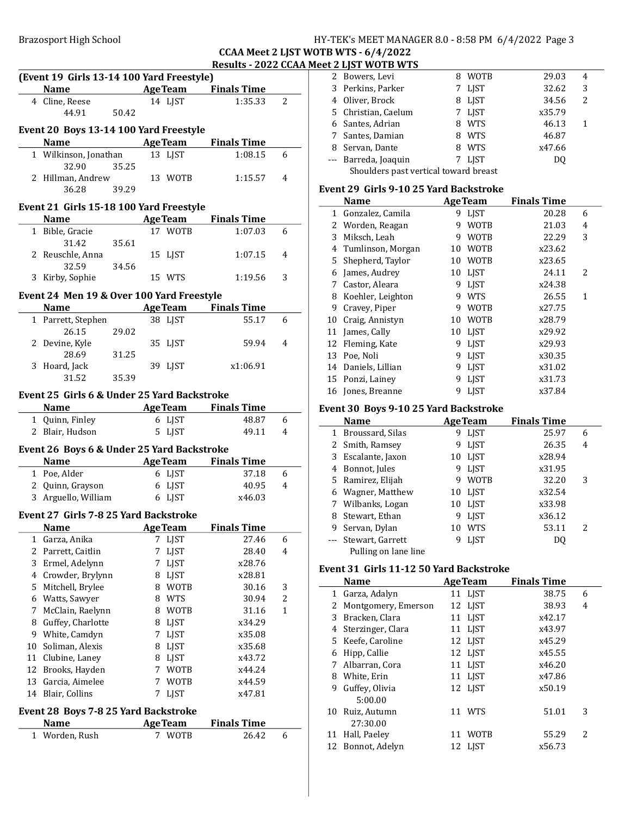### Brazosport High School School HY-TEK's MEET MANAGER 8.0 - 8:58 PM 6/4/2022 Page 3

### CCAA Meet 2 LJST WOTB WTS - 6/4/2022 Results - 2022 CCAA Meet 2 LJST WOTB WTS

|    | Name AgeTeam Finals Time                            |       |   | (Event 19 Girls 13-14 100 Yard Freestyle) |                                       |        |
|----|-----------------------------------------------------|-------|---|-------------------------------------------|---------------------------------------|--------|
|    | 4 Cline, Reese                                      |       |   | 14 LJST                                   | 1:35.33                               | 2      |
|    | 44.91                                               | 50.42 |   |                                           |                                       |        |
|    |                                                     |       |   |                                           |                                       |        |
|    | Event 20 Boys 13-14 100 Yard Freestyle              |       |   |                                           |                                       |        |
|    | Name AgeTeam Finals Time                            |       |   |                                           |                                       |        |
|    | 1 Wilkinson, Jonathan                               |       |   | 13 LJST                                   | 1:08.15                               | 6      |
|    | 32.90                                               | 35.25 |   |                                           |                                       |        |
|    | 2 Hillman, Andrew                                   |       |   | 13 WOTB                                   | 1:15.57                               | 4      |
|    | 36.28                                               | 39.29 |   |                                           |                                       |        |
|    | Event 21 Girls 15-18 100 Yard Freestyle             |       |   |                                           |                                       |        |
|    | <b>Name</b>                                         |       |   | <b>AgeTeam</b>                            | <b>Finals Time</b>                    |        |
|    | 1 Bible, Gracie                                     |       |   | 17 WOTB                                   | 1:07.03                               | 6      |
|    | 31.42                                               | 35.61 |   |                                           |                                       |        |
|    | 2 Reuschle, Anna                                    |       |   | 15 LJST                                   | 1:07.15                               | 4      |
|    | 32.59                                               | 34.56 |   |                                           |                                       |        |
|    | 3 Kirby, Sophie                                     |       |   | 15 WTS                                    | 1:19.56                               | 3      |
|    | Event 24 Men 19 & Over 100 Yard Freestyle           |       |   |                                           |                                       |        |
|    | <b>Name</b>                                         |       |   |                                           | <b>AgeTeam</b> Finals Time            |        |
|    | 1 Parrett, Stephen                                  |       |   | 38 LJST                                   | 55.17                                 | 6      |
|    | 26.15                                               | 29.02 |   |                                           |                                       |        |
|    | 2 Devine, Kyle                                      |       |   | 35 LJST                                   | 59.94                                 | 4      |
|    | 28.69                                               | 31.25 |   |                                           |                                       |        |
|    | 3 Hoard, Jack                                       |       |   | 39 LJST                                   | x1:06.91                              |        |
|    | 31.52                                               | 35.39 |   |                                           |                                       |        |
|    |                                                     |       |   |                                           |                                       |        |
|    | Event 25 Girls 6 & Under 25 Yard Backstroke         |       |   |                                           |                                       |        |
|    | <b>Name</b>                                         |       |   |                                           | <b>Example 2 Age Team</b> Finals Time |        |
|    | 1 Quinn, Finley                                     |       |   | 6 LJST                                    | 48.87                                 | 6      |
|    | 2 Blair, Hudson                                     |       |   | 5 LJST                                    | 49.11                                 | 4      |
|    |                                                     |       |   |                                           |                                       |        |
|    | Event 26 Boys 6 & Under 25 Yard Backstroke          |       |   |                                           |                                       |        |
|    | Name                                                |       |   |                                           | Age Team Finals Time                  |        |
|    | 1 Poe, Alder                                        |       |   | 6 LJST                                    | 37.18                                 |        |
|    | 2 Quinn, Grayson                                    |       |   | 6 LJST                                    | 40.95                                 |        |
|    | 3 Arguello, William                                 |       |   | 6 LJST                                    | x46.03                                | 6<br>4 |
|    |                                                     |       |   |                                           |                                       |        |
|    | Event 27 Girls 7-8 25 Yard Backstroke               |       |   |                                           |                                       |        |
|    | <b>Name</b>                                         |       |   | <b>Age Team</b>                           | <b>Finals Time</b>                    |        |
| 1  | Garza, Anika                                        |       | 7 | LJST                                      | 27.46                                 | 6      |
|    | 2 Parrett, Caitlin                                  |       | 7 | LJST                                      | 28.40                                 | 4      |
|    | 3 Ermel, Adelynn                                    |       |   | 7 LJST                                    | x28.76                                |        |
|    | 4 Crowder, Brylynn                                  |       |   | 8 LJST                                    | x28.81                                |        |
|    | 5 Mitchell, Brylee                                  |       |   | 8 WOTB                                    | 30.16                                 | 3      |
|    | 6 Watts, Sawyer                                     |       |   | 8 WTS                                     | 30.94                                 | 2      |
| 7  | McClain, Raelynn                                    |       | 8 | <b>WOTB</b>                               | 31.16                                 | 1      |
| 8  | Guffey, Charlotte                                   |       | 8 | LJST                                      | x34.29                                |        |
| 9  | White, Camdyn                                       |       | 7 | LJST                                      | x35.08                                |        |
| 10 | Soliman, Alexis                                     |       | 8 | LJST                                      | x35.68                                |        |
| 11 | Clubine, Laney                                      |       |   | 8 LJST                                    | x43.72                                |        |
|    | 12 Brooks, Hayden                                   |       |   | 7 WOTB                                    | x44.24                                |        |
| 13 | Garcia, Aimelee                                     |       | 7 | <b>WOTB</b>                               | x44.59                                |        |
| 14 | Blair, Collins                                      |       | 7 | <b>LJST</b>                               | x47.81                                |        |
|    |                                                     |       |   |                                           |                                       |        |
|    | Event 28 Boys 7-8 25 Yard Backstroke<br><b>Name</b> |       |   | <b>AgeTeam</b>                            | <b>Finals Time</b>                    |        |

|   | 2 Bowers, Levi                        | 8 | WOTB        | 29.03  | 4                        |  |
|---|---------------------------------------|---|-------------|--------|--------------------------|--|
|   | 3 Perkins, Parker                     |   | 7 LJST      | 32.62  | 3                        |  |
|   | 4 Oliver, Brock                       |   | 8 LJST      | 34.56  | $\overline{\mathcal{L}}$ |  |
|   | 5 Christian, Caelum                   |   | 7 LIST      | x35.79 |                          |  |
|   | 6 Santes, Adrian                      | 8 | <b>WTS</b>  | 46.13  |                          |  |
| 7 | Santes, Damian                        | 8 | WTS         | 46.87  |                          |  |
|   | 8 Servan, Dante                       | 8 | <b>WTS</b>  | x47.66 |                          |  |
|   | --- Barreda, Joaquin                  |   | <b>LIST</b> | DO.    |                          |  |
|   | Shoulders past vertical toward breast |   |             |        |                          |  |

### Event 29 Girls 9-10 25 Yard Backstroke

|    | Name                |    | <b>AgeTeam</b> | <b>Finals Time</b> |                          |
|----|---------------------|----|----------------|--------------------|--------------------------|
| 1  | Gonzalez, Camila    | 9  | LIST           | 20.28              | 6                        |
| 2  | Worden, Reagan      | 9  | <b>WOTB</b>    | 21.03              | 4                        |
| 3  | Miksch, Leah        | 9  | <b>WOTB</b>    | 22.29              | 3                        |
| 4  | Tumlinson, Morgan   | 10 | <b>WOTB</b>    | x23.62             |                          |
|    | 5 Shepherd, Taylor  | 10 | <b>WOTB</b>    | x23.65             |                          |
| 6  | James, Audrey       | 10 | <b>LIST</b>    | 24.11              | $\overline{\mathcal{L}}$ |
| 7  | Castor, Aleara      | 9  | <b>LIST</b>    | x24.38             |                          |
| 8  | Koehler, Leighton   | q  | <b>WTS</b>     | 26.55              | 1                        |
| 9  | Cravey, Piper       | 9  | <b>WOTB</b>    | x27.75             |                          |
| 10 | Craig, Annistyn     | 10 | <b>WOTB</b>    | x28.79             |                          |
| 11 | James, Cally        | 10 | <b>LIST</b>    | x29.92             |                          |
| 12 | Fleming, Kate       | 9  | <b>LIST</b>    | x29.93             |                          |
| 13 | Poe, Noli           | 9  | <b>LIST</b>    | x30.35             |                          |
|    | 14 Daniels, Lillian | 9  | <b>LIST</b>    | x31.02             |                          |
| 15 | Ponzi, Lainey       | 9  | <b>LIST</b>    | x31.73             |                          |
| 16 | Jones, Breanne      | 9  | <b>LIST</b>    | x37.84             |                          |
|    |                     |    |                |                    |                          |

### Event 30 Boys 9-10 25 Yard Backstroke

|   | Name                 |    | <b>AgeTeam</b> | <b>Finals Time</b> |   |
|---|----------------------|----|----------------|--------------------|---|
|   | 1 Broussard, Silas   | 9  | <b>LIST</b>    | 25.97              | 6 |
|   | 2 Smith, Ramsey      | 9  | <b>LIST</b>    | 26.35              | 4 |
|   | 3 Escalante, Jaxon   |    | 10 LIST        | x28.94             |   |
|   | 4 Bonnot, Jules      | 9  | <b>LIST</b>    | x31.95             |   |
|   | 5 Ramirez, Elijah    | 9  | <b>WOTB</b>    | 32.20              | 3 |
| 6 | Wagner, Matthew      |    | 10 LJST        | x32.54             |   |
|   | 7 Wilbanks, Logan    |    | 10 LIST        | x33.98             |   |
| 8 | Stewart, Ethan       | 9  | <b>LIST</b>    | x36.12             |   |
| 9 | Servan, Dylan        | 10 | <b>WTS</b>     | 53.11              | 2 |
|   | --- Stewart, Garrett |    | <b>LIST</b>    | DO                 |   |
|   | Pulling on lane line |    |                |                    |   |

### Event 31 Girls 11-12 50 Yard Backstroke

|    | <b>Name</b>         | <b>AgeTeam</b> |             | <b>Finals Time</b> |        |   |
|----|---------------------|----------------|-------------|--------------------|--------|---|
|    | 1 Garza, Adalyn     | 11 LIST        |             |                    | 38.75  | 6 |
|    | Montgomery, Emerson | 12 LIST        |             |                    | 38.93  | 4 |
| 3  | Bracken, Clara      | 11 LJST        |             |                    | x42.17 |   |
|    | 4 Sterzinger, Clara | 11 LIST        |             |                    | x43.97 |   |
|    | 5 Keefe, Caroline   | 12 LIST        |             |                    | x45.29 |   |
| 6  | Hipp, Callie        | 12 LIST        |             |                    | x45.55 |   |
| 7  | Albarran, Cora      | 11 LIST        |             |                    | x46.20 |   |
| 8  | White, Erin         | 11 LIST        |             |                    | x47.86 |   |
| 9  | Guffey, Olivia      | 12 LJST        |             |                    | x50.19 |   |
|    | 5:00.00             |                |             |                    |        |   |
|    | 10 Ruiz, Autumn     | 11 WTS         |             |                    | 51.01  | 3 |
|    | 27:30.00            |                |             |                    |        |   |
| 11 | Hall, Paeley        | 11             | <b>WOTB</b> |                    | 55.29  | 2 |
|    | 12 Bonnot, Adelyn   | 12 LIST        |             |                    | x56.73 |   |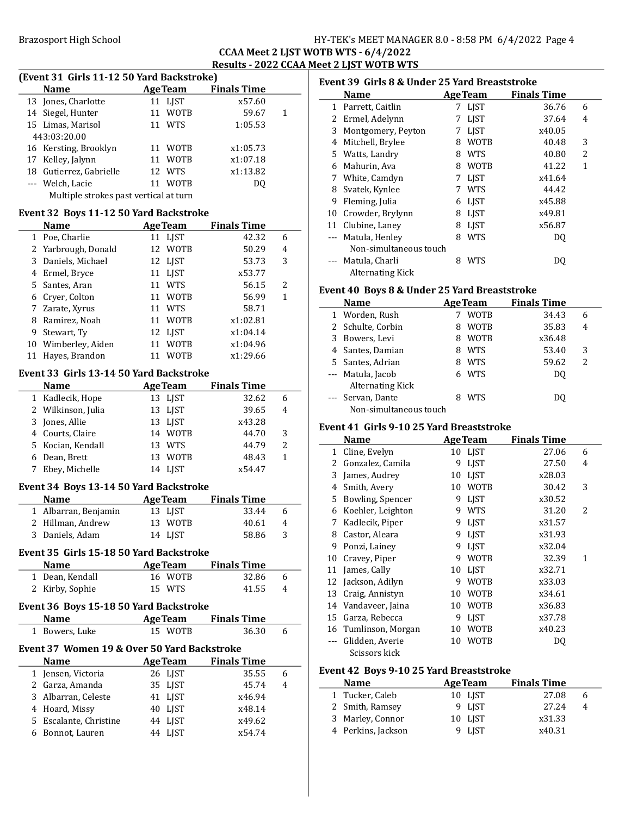Brazosport High School **HY-TEK's MEET MANAGER 8.0 - 8:58 PM 6/4/2022** Page 4

### CCAA Meet 2 LJST WOTB WTS - 6/4/2022 Results - 2022 CCAA Meet 2 LJST WOTB WTS

# (Event 31 Girls 11-12 50 Yard Backstroke)

| <b>Name</b>                            | <b>AgeTeam</b>    | <b>Finals Time</b> |   |
|----------------------------------------|-------------------|--------------------|---|
| 13 Jones, Charlotte                    | 11 LJST           | x57.60             |   |
| 14 Siegel, Hunter                      | 11 WOTB           | 59.67              | 1 |
| 15 Limas, Marisol                      | 11 WTS            | 1:05.53            |   |
| 443:03:20.00                           |                   |                    |   |
| 16 Kersting, Brooklyn                  | 11 WOTB           | x1:05.73           |   |
| 17 Kelley, Jalynn                      | 11 WOTB           | x1:07.18           |   |
| 18 Gutierrez, Gabrielle                | 12 WTS            | x1:13.82           |   |
| --- Welch, Lacie                       | <b>WOTB</b><br>11 | DO.                |   |
| Multiple strokes past vertical at turn |                   |                    |   |

### Event 32 Boys 11-12 50 Yard Backstroke

|    | <b>Name</b>         | <b>AgeTeam</b>    | <b>Finals Time</b> |                          |
|----|---------------------|-------------------|--------------------|--------------------------|
|    | 1 Poe, Charlie      | 11 LIST           | 42.32              | 6                        |
|    | 2 Yarbrough, Donald | 12 WOTB           | 50.29              | 4                        |
|    | 3 Daniels, Michael  | 12 LJST           | 53.73              | 3                        |
|    | 4 Ermel, Bryce      | 11 LJST           | x53.77             |                          |
|    | 5 Santes, Aran      | <b>WTS</b><br>11  | 56.15              | $\overline{\mathcal{L}}$ |
|    | 6 Cryer, Colton     | 11 WOTB           | 56.99              | 1                        |
|    | 7 Zarate, Xyrus     | WTS<br>11         | 58.71              |                          |
| 8  | Ramirez, Noah       | WOTB<br>11        | x1:02.81           |                          |
| 9  | Stewart, Ty         | 12 LJST           | x1:04.14           |                          |
| 10 | Wimberley, Aiden    | <b>WOTB</b><br>11 | x1:04.96           |                          |
|    | Hayes, Brandon      | <b>WOTB</b>       | x1:29.66           |                          |

### Event 33 Girls 13-14 50 Yard Backstroke

| <b>Name</b>        | <b>Age Team</b> | <b>Finals Time</b> |               |
|--------------------|-----------------|--------------------|---------------|
| 1 Kadlecik, Hope   | 13 LIST         | 32.62              | 6             |
| 2 Wilkinson, Julia | 13 LIST         | 39.65              |               |
| 3 Jones, Allie     | 13 LIST         | x43.28             |               |
| 4 Courts, Claire   | 14 WOTB         | 44.70              | 3             |
| 5 Kocian, Kendall  | 13 WTS          | 44.79              | $\mathcal{P}$ |
| 6 Dean, Brett      | 13 WOTB         | 48.43              |               |
| 7 Ebey, Michelle   | 14 LIST         | x54.47             |               |

### Event 34 Boys 13-14 50 Yard Backstroke

| <b>Name</b>          | <b>AgeTeam</b> | <b>Finals Time</b> |    |
|----------------------|----------------|--------------------|----|
| 1 Albarran, Benjamin | 13 LIST        | 33.44              | h  |
| 2 Hillman, Andrew    | 13 WOTB        | 40.61              | 4  |
| 3 Daniels, Adam      | 14 LIST        | 58.86              | ्र |
|                      |                |                    |    |

### Event 35 Girls 15-18 50 Yard Backstroke

| <b>Name</b>     | <b>AgeTeam</b> | <b>Finals Time</b> |   |
|-----------------|----------------|--------------------|---|
| 1 Dean, Kendall | 16 WOTB        | 32.86              | 6 |
| 2 Kirby, Sophie | 15 WTS         | 41.55              | 4 |
|                 |                |                    |   |

#### Event 36 Boys 15-18 50 Yard Backstroke Age Team

|   | ivame                                       | Age ream       | rinais Thne        |   |  |
|---|---------------------------------------------|----------------|--------------------|---|--|
| 1 | Bowers, Luke                                | 15 WOTB        | 36.30              | 6 |  |
|   | Event 37 Women 19 & Over 50 Yard Backstroke |                |                    |   |  |
|   | Name                                        | <b>AgeTeam</b> | <b>Finals Time</b> |   |  |
|   | 1 Jensen, Victoria                          | 26 LIST        | 35.55              | 6 |  |
|   | 2 Garza, Amanda                             | 35 LIST        | 45.74              | 4 |  |
|   | 3 Albarran, Celeste                         | 41 LIST        | x46.94             |   |  |
|   | 4 Hoard, Missy                              | 40 LIST        | x48.14             |   |  |
|   | 5 Escalante, Christine                      | 44 LIST        | x49.62             |   |  |
| 6 | Bonnot, Lauren                              | 44 LIST        | x54.74             |   |  |

|              | Event 39 Girls 8 & Under 25 Yard Breaststroke |   |                |                    |                          |  |
|--------------|-----------------------------------------------|---|----------------|--------------------|--------------------------|--|
|              | <b>Name</b>                                   |   | <b>AgeTeam</b> | <b>Finals Time</b> |                          |  |
| $\mathbf{1}$ | Parrett, Caitlin                              | 7 | LIST           | 36.76              | 6                        |  |
| 2            | Ermel, Adelynn                                | 7 | <b>LIST</b>    | 37.64              | 4                        |  |
| 3            | Montgomery, Peyton                            | 7 | <b>LIST</b>    | x40.05             |                          |  |
| 4            | Mitchell, Brylee                              | 8 | WOTB           | 40.48              | 3                        |  |
| 5.           | Watts, Landry                                 | 8 | <b>WTS</b>     | 40.80              | $\overline{\mathcal{L}}$ |  |
| 6            | Mahurin, Ava                                  | 8 | <b>WOTB</b>    | 41.22              | 1                        |  |
| 7            | White, Camdyn                                 | 7 | <b>LIST</b>    | x41.64             |                          |  |
| 8            | Svatek, Kynlee                                |   | <b>WTS</b>     | 44.42              |                          |  |
| 9            | Fleming, Julia                                | 6 | <b>LIST</b>    | x45.88             |                          |  |
| 10           | Crowder, Brylynn                              | 8 | <b>LIST</b>    | x49.81             |                          |  |
| 11           | Clubine, Laney                                | 8 | <b>LIST</b>    | x56.87             |                          |  |
|              | Matula, Henley                                | 8 | <b>WTS</b>     | DQ                 |                          |  |
|              | Non-simultaneous touch                        |   |                |                    |                          |  |
|              | Matula, Charli                                | 8 | WTS            | DO                 |                          |  |
|              | Alternating Kick                              |   |                |                    |                          |  |

### Event 40 Boys 8 & Under 25 Yard Breaststroke

| <b>Name</b>       |                        |   | <b>AgeTeam</b> | <b>Finals Time</b> |   |
|-------------------|------------------------|---|----------------|--------------------|---|
| 1 Worden, Rush    |                        |   | <b>WOTB</b>    | 34.43              | 6 |
| 2 Schulte, Corbin |                        |   | <b>WOTB</b>    | 35.83              | 4 |
| 3 Bowers, Levi    |                        | 8 | <b>WOTB</b>    | x36.48             |   |
| 4 Santes, Damian  |                        | 8 | <b>WTS</b>     | 53.40              | 3 |
| 5 Santes, Adrian  |                        | 8 | <b>WTS</b>     | 59.62              | 2 |
| --- Matula, Jacob | Alternating Kick       |   | <b>WTS</b>     | DO.                |   |
| --- Servan, Dante | Non-simultaneous touch |   | <b>WTS</b>     | DO                 |   |

### Event 41 Girls 9-10 25 Yard Breaststroke

|    | Name                 |    | <b>Age Team</b> | <b>Finals Time</b> |   |
|----|----------------------|----|-----------------|--------------------|---|
| 1  | Cline, Evelyn        | 10 | <b>LJST</b>     | 27.06              | 6 |
| 2  | Gonzalez, Camila     | 9  | <b>LJST</b>     | 27.50              | 4 |
| 3  | James, Audrey        | 10 | <b>LJST</b>     | x28.03             |   |
| 4  | Smith, Avery         | 10 | <b>WOTB</b>     | 30.42              | 3 |
| 5  | Bowling, Spencer     | 9  | <b>LIST</b>     | x30.52             |   |
| 6  | Koehler, Leighton    | 9  | <b>WTS</b>      | 31.20              | 2 |
| 7  | Kadlecik, Piper      | 9  | <b>LJST</b>     | x31.57             |   |
| 8  | Castor, Aleara       | 9  | <b>LIST</b>     | x31.93             |   |
| 9  | Ponzi, Lainey        | 9  | <b>LJST</b>     | x32.04             |   |
| 10 | Cravey, Piper        | 9  | <b>WOTB</b>     | 32.39              | 1 |
| 11 | James, Cally         | 10 | <b>LIST</b>     | x32.71             |   |
| 12 | Jackson, Adilyn      | 9  | <b>WOTB</b>     | x33.03             |   |
| 13 | Craig, Annistyn      | 10 | <b>WOTB</b>     | x34.61             |   |
| 14 | Vandaveer, Jaina     | 10 | <b>WOTB</b>     | x36.83             |   |
| 15 | Garza, Rebecca       | 9  | <b>LIST</b>     | x37.78             |   |
|    | 16 Tumlinson, Morgan | 10 | <b>WOTB</b>     | x40.23             |   |
|    | Glidden, Averie      | 10 | <b>WOTB</b>     | DQ                 |   |
|    | Scissors kick        |    |                 |                    |   |

### Event 42 Boys 9-10 25 Yard Breaststroke

| <b>Name</b>        | <b>AgeTeam</b> | <b>Finals Time</b> |   |
|--------------------|----------------|--------------------|---|
| 1 Tucker, Caleb    | 10 LIST        | 27.08              | h |
| 2 Smith, Ramsey    | 9 LIST         | 2.7.24             | 4 |
| 3 Marley, Connor   | 10 LJST        | x31.33             |   |
| 4 Perkins, Jackson | 9 LIST         | x40.31             |   |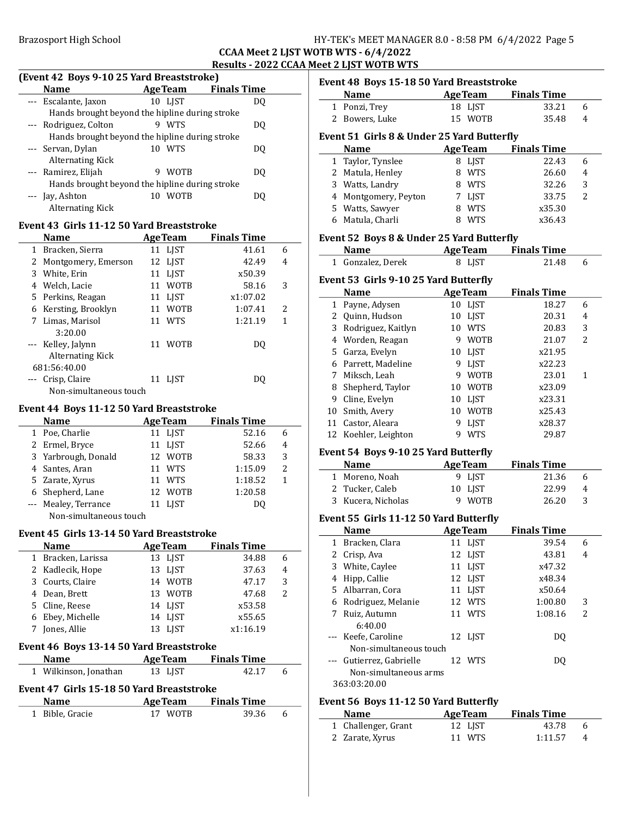### HY-TEK's MEET MANAGER 8.0 - 8:58 PM 6/4/2022 Page 5

### WOTB WTS - 6/4/2022 <u>Meet 2 LJST WOTB WTS </u>

| <b>Brazosport High School</b>                  |    |                | <b>CCAA Meet 2 LJST</b>    |   |
|------------------------------------------------|----|----------------|----------------------------|---|
| (Event 42 Boys 9-10 25 Yard Breaststroke)      |    |                | Results - 2022 CCAA        |   |
| <b>Name</b>                                    |    |                | <b>AgeTeam</b> Finals Time |   |
| --- Escalante, Jaxon                           |    | 10 LJST        | DO.                        |   |
| Hands brought beyond the hipline during stroke |    |                |                            |   |
| --- Rodriguez, Colton                          |    | 9 WTS          | DO.                        |   |
| Hands brought beyond the hipline during stroke |    |                |                            |   |
| --- Servan, Dylan                              |    | 10 WTS         | DQ                         |   |
| <b>Alternating Kick</b>                        |    |                |                            |   |
| --- Ramirez, Elijah                            |    | 9 WOTB         | DQ                         |   |
| Hands brought beyond the hipline during stroke |    |                |                            |   |
| --- Jay, Ashton                                |    | 10 WOTB        | DQ                         |   |
| <b>Alternating Kick</b>                        |    |                |                            |   |
| Event 43 Girls 11-12 50 Yard Breaststroke      |    |                |                            |   |
| <b>Name</b>                                    |    | <b>AgeTeam</b> | <b>Finals Time</b>         |   |
| 1 Bracken, Sierra                              |    | 11 LJST        | 41.61                      | 6 |
| 2 Montgomery, Emerson                          |    | 12 LJST        | 42.49                      | 4 |
| 3 White. Erin                                  |    | 11 LJST        | x50.39                     |   |
| 4 Welch, Lacie                                 |    | 11 WOTB        | 58.16                      | 3 |
| 5 Perkins, Reagan                              |    | 11 LJST        | x1:07.02                   |   |
| 6 Kersting, Brooklyn                           |    | 11 WOTB        | 1:07.41                    | 2 |
| 7 Limas, Marisol                               |    | 11 WTS         | 1:21.19                    | 1 |
| 3:20.00                                        |    |                |                            |   |
| --- Kelley, Jalynn                             |    | 11 WOTB        | DQ                         |   |
| <b>Alternating Kick</b>                        |    |                |                            |   |
| 681:56:40.00                                   |    |                |                            |   |
| --- Crisp, Claire                              |    | 11 LJST        | DQ                         |   |
| Non-simultaneous touch                         |    |                |                            |   |
| Event 44 Boys 11-12 50 Yard Breaststroke       |    |                |                            |   |
| <b>Name</b>                                    |    |                | <b>AgeTeam</b> Finals Time |   |
| 1 Poe, Charlie                                 |    | 11 LJST        | 52.16                      | 6 |
| 2 Ermel, Bryce                                 |    | 11 LJST        | 52.66                      | 4 |
| 3 Yarbrough, Donald                            |    | 12 WOTB        | 58.33                      | 3 |
| 4<br>Santes, Aran                              |    | 11 WTS         | 1:15.09                    | 2 |
| 5<br>Zarate, Xyrus                             | 11 | <b>WTS</b>     | 1:18.52                    | 1 |
| Shepherd, Lane<br>6                            | 12 | <b>WOTB</b>    | 1:20.58                    |   |
| Mealey, Terrance<br>---                        | 11 | <b>LJST</b>    | DQ                         |   |
| Non-simultaneous touch                         |    |                |                            |   |
|                                                |    |                |                            |   |
| Event 45 Girls 13-14 50 Yard Breaststroke      |    |                |                            |   |
| <b>Name</b>                                    |    | <b>AgeTeam</b> | <b>Finals Time</b>         |   |
| Bracken, Larissa<br>1                          |    | 13 LJST        | 34.88                      | 6 |
| 2<br>Kadlecik, Hope                            | 13 | <b>LJST</b>    | 37.63                      | 4 |
| 3<br>Courts, Claire                            |    | 14 WOTB        | 47.17                      | 3 |
| Dean, Brett<br>4                               | 13 | <b>WOTB</b>    | 47.68                      | 2 |
| 5<br>Cline, Reese                              | 14 | LJST           | x53.58                     |   |
| Ebey, Michelle<br>6                            | 14 | <b>LJST</b>    | x55.65                     |   |
| Jones, Allie<br>7                              |    | 13 LJST        | x1:16.19                   |   |

### Event 46 Boys 13-14 50 Yard Breaststroke

| <b>Name</b>                               | <b>AgeTeam</b> | <b>Finals Time</b> |   |  |  |  |
|-------------------------------------------|----------------|--------------------|---|--|--|--|
| 1 Wilkinson, Jonathan                     | 13 LIST        | 42.17              | h |  |  |  |
| Event 47 Girls 15-18 50 Yard Breaststroke |                |                    |   |  |  |  |
| <b>Name</b>                               | <b>AgeTeam</b> | <b>Finals Time</b> |   |  |  |  |

| name            | ALC I CAIN | т піатэ типе |  |
|-----------------|------------|--------------|--|
| 1 Bible, Gracie | 17 WOTB    | 39.36        |  |
|                 |            |              |  |

|                   | Event 48 Boys 15-18 50 Yard Breaststroke<br><b>Name</b> |    | <b>AgeTeam</b> | <b>Finals Time</b> |        |
|-------------------|---------------------------------------------------------|----|----------------|--------------------|--------|
| 1                 | Ponzi, Trey                                             |    | 18 LJST        | 33.21              | 6      |
| 2                 | Bowers, Luke                                            |    | 15 WOTB        | 35.48              | 4      |
|                   |                                                         |    |                |                    |        |
|                   | Event 51 Girls 8 & Under 25 Yard Butterfly              |    |                |                    |        |
|                   | <b>Name</b>                                             |    | <b>AgeTeam</b> | <b>Finals Time</b> |        |
| 1                 | Taylor, Tynslee                                         |    | 8 LJST         | 22.43              | 6      |
| 2                 | Matula, Henley                                          |    | 8 WTS          | 26.60              | 4      |
| 3                 | Watts, Landry                                           |    | 8 WTS          | 32.26              | 3      |
| 4                 | Montgomery, Peyton                                      |    | 7 LJST         | 33.75              | 2      |
|                   | 5 Watts, Sawyer                                         |    | 8 WTS          | x35.30             |        |
| 6                 | Matula, Charli                                          | 8  | WTS            | x36.43             |        |
|                   | Event 52 Boys 8 & Under 25 Yard Butterfly               |    |                |                    |        |
|                   | Name                                                    |    | <b>AgeTeam</b> | <b>Finals Time</b> |        |
|                   | 1 Gonzalez, Derek                                       |    | 8 LJST         | 21.48              | 6      |
|                   | Event 53 Girls 9-10 25 Yard Butterfly                   |    |                |                    |        |
|                   | <b>Name</b>                                             |    | <b>AgeTeam</b> | <b>Finals Time</b> |        |
| 1                 | Payne, Adysen                                           |    | 10 LJST        | 18.27              | 6      |
| 2                 | Quinn, Hudson                                           |    | 10 LJST        | 20.31              | 4      |
| 3                 | Rodriguez, Kaitlyn                                      |    | 10 WTS         | 20.83              | 3      |
|                   | 4 Worden, Reagan                                        |    | 9 WOTB         | 21.07              | 2      |
| 5                 | Garza, Evelyn                                           |    | 10 LJST        | x21.95             |        |
|                   | 6 Parrett, Madeline                                     |    | 9 LJST         | x22.23             |        |
| 7                 | Miksch, Leah                                            |    | 9 WOTB         | 23.01              | 1      |
| 8                 | Shepherd, Taylor                                        |    | 10 WOTB        | x23.09             |        |
| 9                 | Cline, Evelyn                                           |    | 10 LJST        | x23.31             |        |
|                   | 10 Smith, Avery                                         |    | 10 WOTB        | x25.43             |        |
|                   | 11 Castor, Aleara                                       | 9  | <b>LIST</b>    | x28.37             |        |
|                   | 12 Koehler, Leighton                                    | 9  | WTS            | 29.87              |        |
|                   |                                                         |    |                |                    |        |
|                   | Event 54 Boys 9-10 25 Yard Butterfly<br><b>Name</b>     |    | <b>AgeTeam</b> | <b>Finals Time</b> |        |
| 1                 | Moreno, Noah                                            | 9. | <b>LJST</b>    | 21.36              | 6      |
| 2                 | Tucker, Caleb                                           | 10 | <b>LJST</b>    | 22.99              | 4      |
| 3                 | Kucera, Nicholas                                        | 9  | <b>WOTB</b>    | 26.20              | 3      |
|                   |                                                         |    |                |                    |        |
|                   | Event 55 Girls 11-12 50 Yard Butterfly                  |    |                |                    |        |
|                   | <b>Name</b>                                             |    | <b>AgeTeam</b> | <b>Finals Time</b> |        |
| 1                 | Bracken, Clara                                          |    | 11 LJST        | 39.54              | 6      |
| 2                 | Crisp, Ava                                              |    | 12 LJST        | 43.81              | 4      |
| 3                 | White, Caylee                                           |    | 11 LJST        | x47.32             |        |
|                   |                                                         |    |                |                    |        |
| 4                 | Hipp, Callie                                            |    | 12 LJST        | x48.34             |        |
|                   | 5 Albarran, Cora                                        |    | 11 LJST        | x50.64             |        |
|                   | 6 Rodriguez, Melanie                                    |    | 12 WTS         | 1:00.80            | 3      |
| 7                 | Ruiz, Autumn                                            | 11 | WTS            | 1:08.16            | 2      |
|                   | 6:40.00                                                 |    |                |                    |        |
| ---               | Keefe, Caroline                                         | 12 | LJST           | DQ                 |        |
|                   | Non-simultaneous touch                                  |    |                |                    |        |
| $--$              | Gutierrez, Gabrielle                                    |    | 12 WTS         | DQ                 |        |
|                   | Non-simultaneous arms<br>363:03:20.00                   |    |                |                    |        |
|                   |                                                         |    |                |                    |        |
|                   | Event 56 Boys 11-12 50 Yard Butterfly                   |    |                |                    |        |
|                   | Name                                                    |    | <b>AgeTeam</b> | <b>Finals Time</b> |        |
| $\mathbf{1}$<br>2 | Challenger, Grant<br>Zarate, Xyrus                      | 11 | 12 LJST<br>WTS | 43.78<br>1:11.57   | 6<br>4 |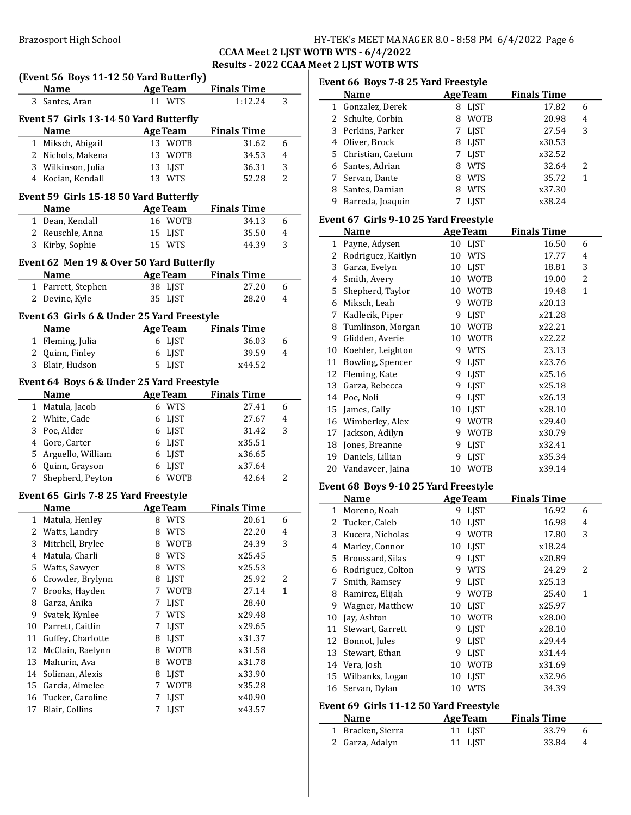### CCAA Meet 2 LJST WOTB WTS - 6/4/2022 Results - 2022 CCAA Meet 2 LJST WOTB WTS

|                | (Event 56 Boys 11-12 50 Yard Butterfly)    |        |                       |                    |                |
|----------------|--------------------------------------------|--------|-----------------------|--------------------|----------------|
|                | <b>Name</b><br><b>Example 2 Age Team</b>   |        |                       | <b>Finals Time</b> |                |
| 3              | Santes, Aran                               |        | 11 WTS                | 1:12.24            | 3              |
|                | Event 57 Girls 13-14 50 Yard Butterfly     |        |                       |                    |                |
|                | <b>Name</b>                                |        | <b>AgeTeam</b>        | <b>Finals Time</b> |                |
|                | 1 Miksch, Abigail                          |        | 13 WOTB               | 31.62              | 6              |
|                | 2 Nichols, Makena                          |        | 13 WOTB               | 34.53              | 4              |
|                | 3 Wilkinson, Julia                         |        | 13 LJST               | 36.31              | 3              |
|                | 4 Kocian, Kendall                          |        | 13 WTS                | 52.28              | 2              |
|                |                                            |        |                       |                    |                |
|                | Event 59 Girls 15-18 50 Yard Butterfly     |        |                       |                    |                |
|                | <b>Name</b>                                |        | <b>AgeTeam</b>        | <b>Finals Time</b> |                |
|                | 1 Dean, Kendall                            |        | 16 WOTB               | 34.13              | 6              |
|                | 2 Reuschle, Anna                           |        | 15 LJST               | 35.50              | 4              |
| 3              | Kirby, Sophie                              |        | 15 WTS                | 44.39              | 3              |
|                | Event 62 Men 19 & Over 50 Yard Butterfly   |        |                       |                    |                |
|                | <b>Name</b>                                |        | <b>AgeTeam</b>        | <b>Finals Time</b> |                |
|                | 1 Parrett, Stephen                         |        | 38 LJST               | 27.20              | 6              |
| 2              | Devine, Kyle                               |        | 35 LJST               | 28.20              | 4              |
|                | Event 63 Girls 6 & Under 25 Yard Freestyle |        |                       |                    |                |
|                | <b>Name</b>                                |        | <b>Age Team</b>       | <b>Finals Time</b> |                |
|                | 1 Fleming, Julia                           |        | 6 LJST                | 36.03              | 6              |
|                | 2 Quinn, Finley                            |        | 6 LJST                | 39.59              | 4              |
| 3              | Blair, Hudson                              |        | 5 LJST                | x44.52             |                |
|                |                                            |        |                       |                    |                |
|                | Event 64 Boys 6 & Under 25 Yard Freestyle  |        |                       |                    |                |
|                | <b>Name</b>                                |        | <b>AgeTeam</b>        | <b>Finals Time</b> |                |
|                | 1 Matula, Jacob                            |        | 6 WTS                 | 27.41              | 6              |
|                | 2 White, Cade                              |        | 6 LJST                | 27.67              | 4              |
|                | 3 Poe, Alder                               |        | 6 LJST                | 31.42              | 3              |
|                | 4 Gore, Carter                             |        | 6 LJST                | x35.51             |                |
|                | 5 Arguello, William                        |        | 6 LJST                | x36.65             |                |
|                | 6 Quinn, Grayson                           |        | 6 LJST                | x37.64             |                |
| 7              | Shepherd, Peyton                           |        | 6 WOTB                | 42.64              | 2              |
|                | Event 65 Girls 7-8 25 Yard Freestyle       |        |                       |                    |                |
|                | <b>Name</b>                                |        | <b>AgeTeam</b>        | <b>Finals Time</b> |                |
|                | 1 Matula, Henley                           |        | 8 WTS                 | 20.61              | 6              |
|                | 2 Watts, Landry                            |        | 8 WTS                 | 22.20              | $\overline{4}$ |
| 3              | Mitchell, Brylee                           |        | 8 WOTB                | 24.39              | 3              |
| $\overline{4}$ | Matula, Charli                             |        | 8 WTS                 | x25.45             |                |
| 5              | Watts, Sawyer                              |        | 8 WTS                 | x25.53             |                |
| 6              | Crowder, Brylynn                           | 8      | <b>LJST</b>           | 25.92              | 2              |
| 7              | Brooks, Hayden                             | 7      | <b>WOTB</b>           | 27.14              | 1              |
| 8              | Garza, Anika                               | 7      | <b>LJST</b>           | 28.40              |                |
| 9              | Svatek, Kynlee                             | 7      | <b>WTS</b>            | x29.48             |                |
| 10             | Parrett, Caitlin                           | 7      | <b>LJST</b>           | x29.65             |                |
| 11             | Guffey, Charlotte                          |        | 8 LJST                | x31.37             |                |
| 12             | McClain, Raelynn                           |        | 8 WOTB                | x31.58             |                |
| 13             | Mahurin, Ava                               |        | 8 WOTB                | x31.78             |                |
| 14             |                                            |        |                       |                    |                |
| 15             | Soliman, Alexis<br>Garcia, Aimelee         | 7      | 8 LJST<br><b>WOTB</b> | x33.90             |                |
| 16             |                                            |        |                       | x35.28             |                |
| 17             | Tucker, Caroline<br>Blair, Collins         | 7<br>7 | LJST<br>LJST          | x40.90<br>x43.57   |                |
|                |                                            |        |                       |                    |                |
|                |                                            |        |                       |                    |                |

| Event 66 Boys 7-8 25 Yard Freestyle |                                       |    |                |                    |   |  |
|-------------------------------------|---------------------------------------|----|----------------|--------------------|---|--|
|                                     | <b>Name</b>                           |    | <b>AgeTeam</b> | <b>Finals Time</b> |   |  |
|                                     | 1 Gonzalez, Derek                     |    | 8 LJST         | 17.82              | 6 |  |
|                                     | 2 Schulte, Corbin                     | 8  | <b>WOTB</b>    | 20.98              | 4 |  |
|                                     | 3 Perkins, Parker                     |    | 7 LJST         | 27.54              | 3 |  |
|                                     | 4 Oliver, Brock                       |    | 8 LJST         | x30.53             |   |  |
| 5.                                  | Christian, Caelum                     |    | 7 LJST         | x32.52             |   |  |
|                                     | 6 Santes, Adrian                      |    | 8 WTS          | 32.64              | 2 |  |
|                                     | 7 Servan, Dante                       |    | 8 WTS          | 35.72              | 1 |  |
|                                     | 8 Santes, Damian                      |    | 8 WTS          | x37.30             |   |  |
| 9.                                  | Barreda, Joaquin                      | 7  | LJST           | x38.24             |   |  |
|                                     | Event 67 Girls 9-10 25 Yard Freestyle |    |                |                    |   |  |
|                                     | <b>Name</b>                           |    | <b>AgeTeam</b> | <b>Finals Time</b> |   |  |
|                                     | 1 Payne, Adysen                       |    | 10 LJST        | 16.50              | 6 |  |
|                                     | 2 Rodriguez, Kaitlyn                  |    | 10 WTS         | 17.77              | 4 |  |
|                                     | 3 Garza, Evelyn                       |    | 10 LJST        | 18.81              | 3 |  |
|                                     | 4 Smith, Avery                        |    | 10 WOTB        | 19.00              | 2 |  |
|                                     | 5 Shepherd, Taylor                    |    | 10 WOTB        | 19.48              | 1 |  |
|                                     | 6 Miksch, Leah                        |    | 9 WOTB         | x20.13             |   |  |
| 7                                   | Kadlecik, Piper                       | 9. | <b>LJST</b>    | x21.28             |   |  |
|                                     | 8 Tumlinson, Morgan                   |    | 10 WOTB        | x22.21             |   |  |
| 9                                   | Glidden, Averie                       |    | 10 WOTB        | x22.22             |   |  |
|                                     | 10 Koehler, Leighton                  |    | 9 WTS          | 23.13              |   |  |
|                                     | 11 Bowling, Spencer                   | 9. | <b>LJST</b>    | x23.76             |   |  |
|                                     | 12 Fleming, Kate                      |    | 9 LJST         | x25.16             |   |  |
| 13                                  | Garza, Rebecca                        | 9. | LJST           | x25.18             |   |  |
|                                     | 14 Poe, Noli                          | 9  | <b>LJST</b>    | x26.13             |   |  |
|                                     | 15 James, Cally                       |    | 10 LJST        | x28.10             |   |  |
|                                     | 16 Wimberley, Alex                    |    | 9 WOTB         | x29.40             |   |  |
| 17                                  | Jackson, Adilyn                       |    | 9 WOTB         | x30.79             |   |  |
|                                     | 18 Jones, Breanne                     | 9  | LJST           | x32.41             |   |  |
|                                     | 19 Daniels, Lillian                   | 9  | LJST           | x35.34             |   |  |
|                                     | 20 Vandaveer, Jaina                   | 10 | <b>WOTB</b>    | x39.14             |   |  |
|                                     | Event 68 Boys 9-10 25 Yard Freestyle  |    |                |                    |   |  |
|                                     | <b>Name</b>                           |    | <b>AgeTeam</b> | <b>Finals Time</b> |   |  |
|                                     | 1 Moreno, Noah                        |    | 9 LJST         | 16.92              | 6 |  |

|    | Name                                   |    | age ream    | rinais Time |   |  |  |  |
|----|----------------------------------------|----|-------------|-------------|---|--|--|--|
|    | 1 Moreno, Noah                         |    | 9 LJST      | 16.92       | 6 |  |  |  |
|    | 2 Tucker, Caleb                        | 10 | <b>LIST</b> | 16.98       | 4 |  |  |  |
| 3  | Kucera, Nicholas                       | 9  | <b>WOTB</b> | 17.80       | 3 |  |  |  |
| 4  | Marley, Connor                         | 10 | LJST        | x18.24      |   |  |  |  |
| 5. | Broussard, Silas                       | 9  | <b>LIST</b> | x20.89      |   |  |  |  |
| 6  | Rodriguez, Colton                      | 9  | <b>WTS</b>  | 24.29       | 2 |  |  |  |
| 7  | Smith, Ramsey                          | 9  | <b>LIST</b> | x25.13      |   |  |  |  |
| 8  | Ramirez, Elijah                        | 9  | <b>WOTB</b> | 25.40       | 1 |  |  |  |
| 9  | Wagner, Matthew                        | 10 | LIST        | x25.97      |   |  |  |  |
| 10 | Jay, Ashton                            | 10 | <b>WOTB</b> | x28.00      |   |  |  |  |
| 11 | Stewart, Garrett                       | 9  | <b>LIST</b> | x28.10      |   |  |  |  |
| 12 | Bonnot, Jules                          | 9  | <b>LIST</b> | x29.44      |   |  |  |  |
|    | 13 Stewart, Ethan                      | 9  | <b>LIST</b> | x31.44      |   |  |  |  |
|    | 14 Vera, Josh                          | 10 | <b>WOTB</b> | x31.69      |   |  |  |  |
|    | 15 Wilbanks, Logan                     | 10 | <b>LIST</b> | x32.96      |   |  |  |  |
|    | 16 Servan, Dylan                       | 10 | <b>WTS</b>  | 34.39       |   |  |  |  |
|    | Event 69 Girls 11-12 50 Yard Freestyle |    |             |             |   |  |  |  |

| <b>Name</b>       | <b>AgeTeam</b> | <b>Finals Time</b> |     |
|-------------------|----------------|--------------------|-----|
| 1 Bracken, Sierra | 11 LIST        | 33.79              | - 6 |
| 2 Garza, Adalyn   | 11 LIST        | 33.84              | -4  |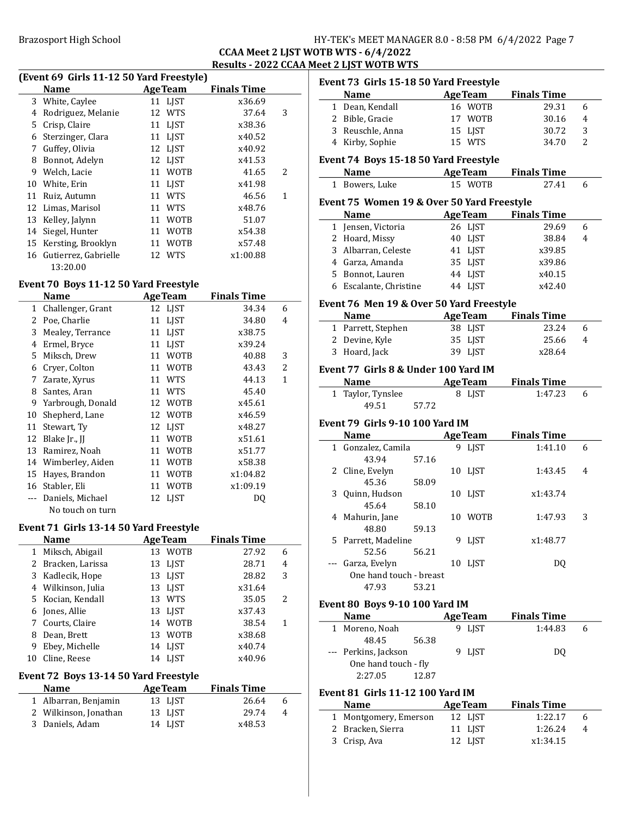Brazosport High School **HY-TEK's MEET MANAGER 8.0 - 8:58 PM 6/4/2022** Page 7

### CCAA Meet 2 LJST WOTB WTS - 6/4/2022 Results - 2022 CCAA Meet 2 LJST WOTB WTS

# (Event 69 Girls 11-12 50 Yard Freestyle)

|    | <b>Name</b>           | <b>AgeTeam</b>    | <b>Finals Time</b> |   |
|----|-----------------------|-------------------|--------------------|---|
|    | 3 White, Caylee       | 11 LJST           | x36.69             |   |
| 4  | Rodriguez, Melanie    | 12 WTS            | 37.64              | 3 |
| 5. | Crisp, Claire         | 11 LJST           | x38.36             |   |
| 6  | Sterzinger, Clara     | 11 LIST           | x40.52             |   |
| 7  | Guffey, Olivia        | 12 LJST           | x40.92             |   |
| 8  | Bonnot, Adelyn        | 12 LJST           | x41.53             |   |
| 9  | Welch, Lacie          | <b>WOTB</b><br>11 | 41.65              | 2 |
| 10 | White, Erin           | 11 LIST           | x41.98             |   |
| 11 | Ruiz, Autumn          | <b>WTS</b><br>11  | 46.56              | 1 |
|    | 12 Limas, Marisol     | <b>WTS</b><br>11  | x48.76             |   |
| 13 | Kelley, Jalynn        | <b>WOTB</b><br>11 | 51.07              |   |
|    | 14 Siegel, Hunter     | <b>WOTB</b><br>11 | x54.38             |   |
|    | 15 Kersting, Brooklyn | <b>WOTB</b><br>11 | x57.48             |   |
| 16 | Gutierrez, Gabrielle  | 12 WTS            | x1:00.88           |   |
|    | 13:20.00              |                   |                    |   |

### Event 70 Boys 11-12 50 Yard Freestyle

|    | Name                | <b>AgeTeam</b>    | <b>Finals Time</b> |                |
|----|---------------------|-------------------|--------------------|----------------|
| 1  | Challenger, Grant   | 12 LJST           | 34.34              | 6              |
| 2  | Poe, Charlie        | 11 LJST           | 34.80              | 4              |
| 3  | Mealey, Terrance    | 11 LJST           | x38.75             |                |
| 4  | Ermel, Bryce        | 11 LJST           | x39.24             |                |
| 5. | Miksch, Drew        | 11 WOTB           | 40.88              | 3              |
| 6  | Cryer, Colton       | 11 WOTB           | 43.43              | $\overline{2}$ |
| 7  | Zarate, Xyrus       | 11 WTS            | 44.13              | 1              |
| 8  | Santes, Aran        | 11 WTS            | 45.40              |                |
| 9  | Yarbrough, Donald   | 12 WOTB           | x45.61             |                |
| 10 | Shepherd, Lane      | 12 WOTB           | x46.59             |                |
| 11 | Stewart, Ty         | 12 LIST           | x48.27             |                |
| 12 | Blake Jr., JJ       | <b>WOTB</b><br>11 | x51.61             |                |
| 13 | Ramirez, Noah       | <b>WOTB</b><br>11 | x51.77             |                |
|    | 14 Wimberley, Aiden | <b>WOTB</b><br>11 | x58.38             |                |
| 15 | Hayes, Brandon      | 11 WOTB           | x1:04.82           |                |
| 16 | Stabler, Eli        | <b>WOTB</b><br>11 | x1:09.19           |                |
|    | Daniels, Michael    | 12 LIST           | DQ                 |                |
|    | No touch on turn    |                   |                    |                |

### Event 71 Girls 13-14 50 Yard Freestyle

|              | <b>Name</b>        | <b>AgeTeam</b> | <b>Finals Time</b> |   |
|--------------|--------------------|----------------|--------------------|---|
| $\mathbf{1}$ | Miksch, Abigail    | 13 WOTB        | 27.92              | 6 |
|              | 2 Bracken, Larissa | 13 LJST        | 28.71              | 4 |
|              | 3 Kadlecik, Hope   | 13 LJST        | 28.82              | 3 |
|              | 4 Wilkinson, Julia | 13 LJST        | x31.64             |   |
|              | 5 Kocian, Kendall  | 13 WTS         | 35.05              | 2 |
|              | 6 Jones, Allie     | 13 LJST        | x37.43             |   |
|              | 7 Courts, Claire   | 14 WOTB        | 38.54              | 1 |
| 8            | Dean, Brett        | 13 WOTB        | x38.68             |   |
| 9            | Ebey, Michelle     | 14 LIST        | x40.74             |   |
|              | Cline, Reese       | 14 LIST        | x40.96             |   |

### Event 72 Boys 13-14 50 Yard Freestyle

| <b>Name</b>           | <b>AgeTeam</b> | <b>Finals Time</b> |   |
|-----------------------|----------------|--------------------|---|
| 1 Albarran, Benjamin  | 13 LIST        | 26.64              | h |
| 2 Wilkinson, Jonathan | 13 LIST        | 29.74              | 4 |
| 3 Daniels, Adam       | 14 LIST        | x48.53             |   |

| Event 73 Girls 15-18 50 Yard Freestyle     |       |                 |                            |                |
|--------------------------------------------|-------|-----------------|----------------------------|----------------|
| <b>Name</b>                                |       | <b>AgeTeam</b>  | <b>Finals Time</b>         |                |
| 1 Dean, Kendall                            |       | 16 WOTB         | 29.31                      | 6              |
| 2 Bible, Gracie                            |       | 17 WOTB         | 30.16                      | 4              |
| 3 Reuschle, Anna                           |       | 15 LJST         | 30.72                      | 3              |
| 4 Kirby, Sophie                            |       | 15 WTS          | 34.70                      | $\overline{2}$ |
| Event 74 Boys 15-18 50 Yard Freestyle      |       |                 |                            |                |
| <b>Name</b>                                |       | <b>AgeTeam</b>  | <b>Finals Time</b>         |                |
| 1 Bowers, Luke                             |       | 15 WOTB         | 27.41                      | 6              |
| Event 75 Women 19 & Over 50 Yard Freestyle |       |                 |                            |                |
| Name                                       |       |                 | <b>AgeTeam</b> Finals Time |                |
| 1 Jensen, Victoria                         |       | 26 LJST         | 29.69                      | 6              |
| 2 Hoard, Missy                             |       | 40 LJST         | 38.84                      | 4              |
| 3 Albarran, Celeste                        |       | 41 LJST         | x39.85                     |                |
| 4 Garza, Amanda                            |       | 35 LJST         | x39.86                     |                |
| 5 Bonnot, Lauren                           |       | 44 LJST         | x40.15                     |                |
| 6 Escalante, Christine                     |       | 44 LJST         | x42.40                     |                |
| Event 76 Men 19 & Over 50 Yard Freestyle   |       |                 |                            |                |
| <b>Name</b>                                |       | <b>AgeTeam</b>  | <b>Finals Time</b>         |                |
| 1 Parrett, Stephen                         |       | 38 LJST         | 23.24                      | 6              |
| 2 Devine, Kyle                             |       | 35 LJST         | 25.66                      | 4              |
| 3 Hoard, Jack                              |       | 39 LJST         | x28.64                     |                |
| Event 77 Girls 8 & Under 100 Yard IM       |       |                 |                            |                |
| <b>Name</b>                                |       | <b>AgeTeam</b>  | <b>Finals Time</b>         |                |
|                                            |       |                 |                            |                |
|                                            |       |                 |                            |                |
| 1 Taylor, Tynslee                          |       | 8 LJST          | 1:47.23                    | 6              |
| 49.51                                      | 57.72 |                 |                            |                |
| <b>Event 79 Girls 9-10 100 Yard IM</b>     |       |                 |                            |                |
| Name                                       |       | <b>AgeTeam</b>  | <b>Finals Time</b>         |                |
| 1 Gonzalez, Camila                         |       | 9 LJST          | 1:41.10                    | 6              |
| 43.94                                      | 57.16 |                 |                            |                |
| 2 Cline, Evelyn                            |       | 10 LJST         | 1:43.45                    | 4              |
| 45.36                                      | 58.09 |                 |                            |                |
| 3 Quinn, Hudson                            |       | 10 LJST         | x1:43.74                   |                |
| 45.64                                      | 58.10 |                 |                            |                |
| 4 Mahurin, Jane                            |       | 10 WOTB         | 1:47.93                    | 3              |
| 48.80                                      | 59.13 |                 |                            |                |
| 5 Parrett, Madeline                        |       | 9 LJST          | x1:48.77                   |                |
| 52.56                                      | 56.21 |                 |                            |                |
| Garza, Evelyn                              |       | 10 LJST         | DQ                         |                |
| One hand touch - breast                    |       |                 |                            |                |
| 47.93                                      | 53.21 |                 |                            |                |
| <b>Event 80 Boys 9-10 100 Yard IM</b>      |       |                 |                            |                |
| Name                                       |       | <b>Age Team</b> | <b>Finals Time</b>         |                |
| 1 Moreno, Noah                             |       | 9 LJST          | 1:44.83                    | 6              |
| 48.45                                      | 56.38 |                 |                            |                |
| --- Perkins, Jackson                       |       | 9 LJST          | DQ                         |                |
| One hand touch - fly                       |       |                 |                            |                |
| 2:27.05                                    | 12.87 |                 |                            |                |

| <b>Name</b>           | <b>Age Team</b> | <b>Finals Time</b> |   |
|-----------------------|-----------------|--------------------|---|
| 1 Montgomery, Emerson | 12 LIST         | 1:22.17            | h |
| 2 Bracken, Sierra     | 11 LIST         | 1:26.24            | 4 |
| 3 Crisp, Ava          | 12 LIST         | x1:34.15           |   |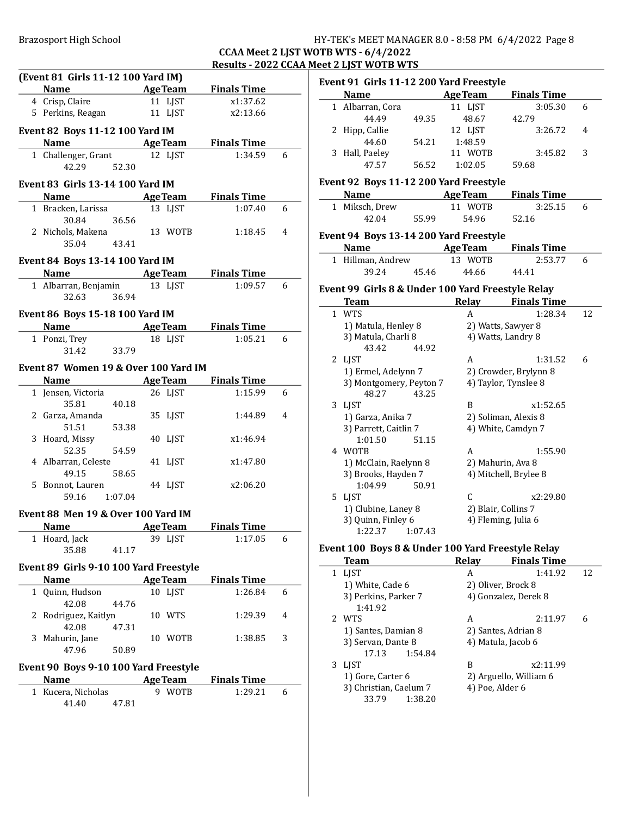### CCAA Meet 2 LJST WOTB WTS - 6/4/2022 Results - 2022 CCAA Meet 2 LJST WOTB WTS

 $\overline{\phantom{0}}$ 

|   | (Event 81 Girls 11-12 100 Yard IM)      |       |                |                          |   |
|---|-----------------------------------------|-------|----------------|--------------------------|---|
|   |                                         |       |                | Name AgeTeam Finals Time |   |
|   | 4 Crisp, Claire                         |       | 11 LJST        | x1:37.62                 |   |
|   | 5 Perkins, Reagan                       |       | 11 LJST        | x2:13.66                 |   |
|   | <b>Event 82 Boys 11-12 100 Yard IM</b>  |       |                |                          |   |
|   |                                         |       |                | Name AgeTeam Finals Time |   |
|   |                                         |       |                |                          |   |
|   | 1 Challenger, Grant                     |       | 12 LJST        | 1:34.59                  | 6 |
|   | 42.29 52.30                             |       |                |                          |   |
|   | <b>Event 83 Girls 13-14 100 Yard IM</b> |       |                |                          |   |
|   |                                         |       |                | Name AgeTeam Finals Time |   |
|   | 1 Bracken, Larissa                      |       | 13 LJST        | 1:07.40                  | 6 |
|   | 30.84 36.56                             |       |                |                          |   |
|   | 2 Nichols, Makena                       |       | 13 WOTB        | 1:18.45                  | 4 |
|   | 35.04 43.41                             |       |                |                          |   |
|   |                                         |       |                |                          |   |
|   | Event 84 Boys 13-14 100 Yard IM         |       |                |                          |   |
|   |                                         |       |                | Name AgeTeam Finals Time |   |
|   | 1 Albarran, Benjamin 13 LJST            |       |                | 1:09.57                  | 6 |
|   | 32.63 36.94                             |       |                |                          |   |
|   | Event 86 Boys 15-18 100 Yard IM         |       |                |                          |   |
|   |                                         |       |                | Name AgeTeam Finals Time |   |
|   | 1 Ponzi, Trey                           |       | 18 LJST        | 1:05.21                  | 6 |
|   | 31.42                                   | 33.79 |                |                          |   |
|   |                                         |       |                |                          |   |
|   | Event 87 Women 19 & Over 100 Yard IM    |       |                |                          |   |
|   |                                         |       |                | Name AgeTeam Finals Time |   |
|   | 1 Jensen, Victoria                      |       | 26 LJST        | 1:15.99                  | 6 |
|   | 35.81 40.18                             |       |                |                          |   |
|   | 2 Garza, Amanda                         |       | 35 LJST        | 1:44.89                  | 4 |
|   | 51.51                                   | 53.38 |                |                          |   |
|   | 3 Hoard, Missy                          |       | 40 LJST        | x1:46.94                 |   |
|   | 52.35                                   | 54.59 |                |                          |   |
|   | 4 Albarran, Celeste                     |       | 41 LJST        | x1:47.80                 |   |
|   | 49.15 58.65                             |       |                |                          |   |
|   | 5 Bonnot, Lauren                        |       | 44 LJST        | x2:06.20                 |   |
|   | 59.16 1:07.04                           |       |                |                          |   |
|   | Event 88 Men 19 & Over 100 Yard IM      |       |                |                          |   |
|   | <b>Example 2 Age Team</b><br>Name       |       |                | <b>Finals Time</b>       |   |
|   | 1 Hoard, Jack                           |       | 39 LJST        | 1:17.05                  | 6 |
|   | 35.88                                   | 41.17 |                |                          |   |
|   |                                         |       |                |                          |   |
|   | Event 89 Girls 9-10 100 Yard Freestyle  |       |                |                          |   |
|   | Name                                    |       | <b>AgeTeam</b> | <b>Finals Time</b>       |   |
|   | 1 Quinn, Hudson                         |       | 10 LJST        | 1:26.84                  | 6 |
|   | 42.08                                   | 44.76 |                |                          |   |
| 2 | Rodriguez, Kaitlyn                      |       | 10 WTS         | 1:29.39                  | 4 |
|   | 42.08                                   | 47.31 |                |                          |   |
| 3 | Mahurin, Jane                           |       | 10 WOTB        | 1:38.85                  | 3 |
|   | 47.96                                   | 50.89 |                |                          |   |
|   | Event 90 Boys 9-10 100 Yard Freestyle   |       |                |                          |   |
|   |                                         |       |                |                          |   |
|   |                                         |       |                |                          |   |
|   | Name                                    |       | <b>AgeTeam</b> | <b>Finals Time</b>       |   |
|   | 1 Kucera, Nicholas<br>41.40             | 47.81 | 9 WOTB         | 1:29.21                  | 6 |

| <b>Name</b>      |       | <b>AgeTeam</b>    | <b>Finals Time</b> |   |
|------------------|-------|-------------------|--------------------|---|
| 1 Albarran, Cora |       | 11 LIST           | 3:05.30            | 6 |
| 44.49            | 49.35 | 48.67             | 42.79              |   |
| 2 Hipp, Callie   |       | 12 LIST           | 3:26.72            | 4 |
| 44.60            | 54.21 | 1:48.59           |                    |   |
| 3 Hall, Paeley   |       | <b>WOTB</b><br>11 | 3:45.82            | 3 |
| 47.57            | 56.52 | 1:02.05           | 59.68              |   |

### Event 92 Boys 11-12 200 Yard Freestyle

| <b>Name</b>    |       | <b>AgeTeam</b> | <b>Finals Time</b> |  |
|----------------|-------|----------------|--------------------|--|
| 1 Miksch, Drew |       | 11 WOTR        | 3:25.15            |  |
| 42.04          | 55.99 | 54.96          | 52.16              |  |

### Event 94 Boys 13-14 200 Yard Freestyle

| <b>Name</b>       | <b>AgeTeam</b> | <b>Finals Time</b> |  |
|-------------------|----------------|--------------------|--|
| 1 Hillman, Andrew | 13 WOTB        | 2:53.77            |  |
| 39.24<br>45.46    | 44.66          | 44.41              |  |

### Event 99 Girls 8 & Under 100 Yard Freestyle Relay

| Team                    | Relay              | <b>Finals Time</b>    |    |
|-------------------------|--------------------|-----------------------|----|
| 1 WTS                   | A                  | 1:28.34               | 12 |
| 1) Matula, Henley 8     |                    | 2) Watts, Sawyer 8    |    |
| 3) Matula, Charli 8     |                    | 4) Watts, Landry 8    |    |
| 43.42<br>44.92          |                    |                       |    |
| 2 LJST                  | A                  | 1:31.52               | 6  |
| 1) Ermel, Adelynn 7     |                    | 2) Crowder, Brylynn 8 |    |
| 3) Montgomery, Peyton 7 |                    | 4) Taylor, Tynslee 8  |    |
| 48.27<br>43.25          |                    |                       |    |
| 3 LJST                  | B                  | x1:52.65              |    |
| 1) Garza, Anika 7       |                    | 2) Soliman, Alexis 8  |    |
| 3) Parrett, Caitlin 7   | 4) White, Camdyn 7 |                       |    |
| 1:01.50<br>51.15        |                    |                       |    |
| 4 WOTB                  | A                  | 1:55.90               |    |
| 1) McClain, Raelynn 8   |                    | 2) Mahurin, Ava 8     |    |
| 3) Brooks, Hayden 7     |                    | 4) Mitchell, Brylee 8 |    |
| 1:04.99<br>50.91        |                    |                       |    |
| 5 LJST                  | C                  | x2:29.80              |    |
| 1) Clubine, Laney 8     |                    | 2) Blair, Collins 7   |    |
| 3) Quinn, Finley 6      |                    | 4) Fleming, Julia 6   |    |
| 1:22.37<br>1:07.43      |                    |                       |    |

### Event 100 Boys 8 & Under 100 Yard Freestyle Relay

| Team             |                      |                        | <b>Relay</b> | <b>Finals Time</b>     |    |
|------------------|----------------------|------------------------|--------------|------------------------|----|
| <b>LIST</b><br>1 |                      |                        | A            | 1:41.92                | 12 |
|                  | 1) White, Cade 6     |                        |              | 2) Oliver, Brock 8     |    |
|                  | 3) Perkins, Parker 7 |                        |              | 4) Gonzalez, Derek 8   |    |
|                  | 1:41.92              |                        |              |                        |    |
| 2 WTS            |                      |                        | А            | 2:11.97                | 6  |
|                  | 1) Santes, Damian 8  |                        |              | 2) Santes, Adrian 8    |    |
|                  | 3) Servan, Dante 8   |                        |              | 4) Matula, Jacob 6     |    |
|                  | 17.13                | 1:54.84                |              |                        |    |
| LIST<br>3        |                      |                        | B            | x2:11.99               |    |
|                  | 1) Gore, Carter 6    |                        |              | 2) Arguello, William 6 |    |
|                  |                      | 3) Christian, Caelum 7 |              | 4) Poe, Alder 6        |    |
|                  | 33.79                | 1:38.20                |              |                        |    |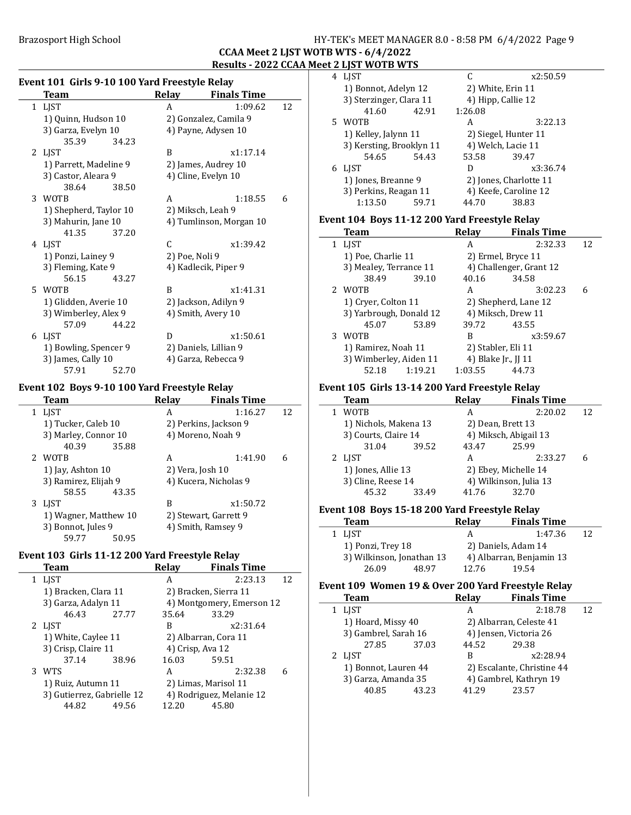### Brazosport High School School HY-TEK's MEET MANAGER 8.0 - 8:58 PM 6/4/2022 Page 9

### CCAA Meet 2 LJST WOTB WTS - 6/4/2022 Results - 2022 CCAA Meet 2 LJST WOTB WTS

 $\frac{1}{2}$ 

| Event 101 Girls 9-10 100 Yard Freestyle Relay |       |                    |                                                                     |  |  |
|-----------------------------------------------|-------|--------------------|---------------------------------------------------------------------|--|--|
| Team                                          | Relay | <b>Finals Time</b> |                                                                     |  |  |
| 1 LIST                                        | А     | 1:09.62            | 12                                                                  |  |  |
| 1) Quinn, Hudson 10                           |       |                    |                                                                     |  |  |
| 3) Garza, Evelyn 10                           |       |                    |                                                                     |  |  |
| 35.39<br>34.23                                |       |                    |                                                                     |  |  |
| 2 LIST                                        | В     | x1:17.14           |                                                                     |  |  |
| 1) Parrett, Madeline 9                        |       |                    |                                                                     |  |  |
|                                               |       |                    | 2) Gonzalez, Camila 9<br>4) Payne, Adysen 10<br>2) James, Audrey 10 |  |  |

|   | 3) Castor, Aleara 9    |       | 4) Cline, Evelyn 10   |                         |   |
|---|------------------------|-------|-----------------------|-------------------------|---|
|   | 38.64                  | 38.50 |                       |                         |   |
| 3 | WOTB                   |       | A                     | 1:18.55                 | 6 |
|   | 1) Shepherd, Taylor 10 |       | 2) Miksch, Leah 9     |                         |   |
|   | 3) Mahurin, Jane 10    |       |                       | 4) Tumlinson, Morgan 10 |   |
|   | 41.35                  | 37.20 |                       |                         |   |
| 4 | LIST                   |       | C                     | x1:39.42                |   |
|   | 1) Ponzi, Lainey 9     |       | 2) Poe, Noli 9        |                         |   |
|   | 3) Fleming, Kate 9     |       | 4) Kadlecik, Piper 9  |                         |   |
|   | 56.15                  | 43.27 |                       |                         |   |
|   | 5 WOTB                 |       | B                     | x1:41.31                |   |
|   | 1) Glidden, Averie 10  |       | 2) Jackson, Adilyn 9  |                         |   |
|   | 3) Wimberley, Alex 9   |       | 4) Smith, Avery 10    |                         |   |
|   | 57.09                  | 44.22 |                       |                         |   |
| 6 | <b>LIST</b>            |       | D                     | x1:50.61                |   |
|   | 1) Bowling, Spencer 9  |       | 2) Daniels, Lillian 9 |                         |   |
|   | 3) James, Cally 10     |       | 4) Garza, Rebecca 9   |                         |   |
|   | 57.91                  | 52.70 |                       |                         |   |

### Event 102 Boys 9-10 100 Yard Freestyle Relay

|   | Team                  |       | Relav            | <b>Finals Time</b>    |    |
|---|-----------------------|-------|------------------|-----------------------|----|
| 1 | LIST                  |       | А                | 1:16.27               | 12 |
|   | 1) Tucker, Caleb 10   |       |                  | 2) Perkins, Jackson 9 |    |
|   | 3) Marley, Connor 10  |       |                  | 4) Moreno, Noah 9     |    |
|   | 40.39                 | 35.88 |                  |                       |    |
|   | 2 WOTB                |       | A                | 1:41.90               | 6  |
|   | 1) Jay, Ashton 10     |       | 2) Vera, Josh 10 |                       |    |
|   | 3) Ramirez, Elijah 9  |       |                  | 4) Kucera, Nicholas 9 |    |
|   | 58.55                 | 43.35 |                  |                       |    |
| 3 | LIST                  |       | B                | x1:50.72              |    |
|   | 1) Wagner, Matthew 10 |       |                  | 2) Stewart, Garrett 9 |    |
|   | 3) Bonnot, Jules 9    |       |                  | 4) Smith, Ramsey 9    |    |
|   | 59.77                 | 50.95 |                  |                       |    |

## Event 103 Girls 11-12 200 Yard Freestyle Relay

|   | Team                       |       | Relay            | <b>Finals Time</b>        |    |
|---|----------------------------|-------|------------------|---------------------------|----|
|   | 1 LJST                     |       | A                | 2:23.13                   | 12 |
|   | 1) Bracken, Clara 11       |       |                  | 2) Bracken, Sierra 11     |    |
|   | 3) Garza, Adalyn 11        |       |                  | 4) Montgomery, Emerson 12 |    |
|   | 46.43                      | 27.77 | 35.64            | 33.29                     |    |
|   | 2 LJST                     |       | B                | x2:31.64                  |    |
|   | 1) White, Caylee 11        |       |                  | 2) Albarran, Cora 11      |    |
|   | 3) Crisp, Claire 11        |       | 4) Crisp, Ava 12 |                           |    |
|   | 37.14                      | 38.96 | 16.03            | 59.51                     |    |
| 3 | <b>WTS</b>                 |       | А                | 2:32.38                   | 6  |
|   | 1) Ruiz, Autumn 11         |       |                  | 2) Limas, Marisol 11      |    |
|   | 3) Gutierrez, Gabrielle 12 |       |                  | 4) Rodriguez, Melanie 12  |    |
|   | 44.82                      | 49.56 | 12.20            | 45.80                     |    |
|   |                            |       |                  |                           |    |

| 4 | <b>LIST</b>              |       |                        | x2:50.59              |  |
|---|--------------------------|-------|------------------------|-----------------------|--|
|   | 1) Bonnot, Adelyn 12     |       | 2) White, Erin 11      |                       |  |
|   | 3) Sterzinger, Clara 11  |       | 4) Hipp, Callie 12     |                       |  |
|   | 41.60                    | 42.91 | 1:26.08                |                       |  |
|   | 5 WOTB                   |       | A                      | 3:22.13               |  |
|   | 1) Kelley, Jalynn 11     |       | 2) Siegel, Hunter 11   |                       |  |
|   | 3) Kersting, Brooklyn 11 |       | 4) Welch, Lacie 11     |                       |  |
|   | 54.65                    | 54.43 | 53.58                  | 39.47                 |  |
| 6 | LIST                     |       | Ð                      | x3:36.74              |  |
|   | 1) Jones, Breanne 9      |       | 2) Jones, Charlotte 11 |                       |  |
|   | 3) Perkins, Reagan 11    |       |                        | 4) Keefe, Caroline 12 |  |
|   | 1:13.50                  | 59.71 | 44.70                  | 38.83                 |  |

### Event 104 Boys 11-12 200 Yard Freestyle Relay

|   | <b>Team</b>                                   |         | Relay   | <b>Finals Time</b>      |    |
|---|-----------------------------------------------|---------|---------|-------------------------|----|
| 1 | LJST                                          |         | А       | 2:32.33                 | 12 |
|   | 1) Poe, Charlie 11                            |         |         | 2) Ermel, Bryce 11      |    |
|   | 3) Mealey, Terrance 11                        |         |         | 4) Challenger, Grant 12 |    |
|   | 38.49                                         | 39.10   | 40.16   | 34.58                   |    |
|   | 2 WOTB                                        |         | A       | 3:02.23                 | 6  |
|   | 1) Cryer, Colton 11                           |         |         | 2) Shepherd, Lane 12    |    |
|   | 3) Yarbrough, Donald 12                       |         |         | 4) Miksch, Drew 11      |    |
|   | 45.07                                         | 53.89   | 39.72   | 43.55                   |    |
| 3 | WOTB                                          |         | B       | x3:59.67                |    |
|   | 1) Ramirez, Noah 11<br>3) Wimberley, Aiden 11 |         |         | 2) Stabler, Eli 11      |    |
|   |                                               |         |         | 4) Blake Jr., JJ 11     |    |
|   | 52.18                                         | 1:19.21 | 1:03.55 | 44.73                   |    |

### Event 105 Girls 13-14 200 Yard Freestyle Relay

| <b>Team</b>          | <b>Relav</b> | <b>Finals Time</b>                      |                                                                                                                |
|----------------------|--------------|-----------------------------------------|----------------------------------------------------------------------------------------------------------------|
| <b>WOTB</b>          | А            | 2:20.02                                 | 12                                                                                                             |
|                      |              |                                         |                                                                                                                |
| 3) Courts, Claire 14 |              |                                         |                                                                                                                |
| 31.04                |              | 25.99                                   |                                                                                                                |
|                      | А            | 2:33.27                                 | 6                                                                                                              |
| 1) Jones, Allie 13   |              |                                         |                                                                                                                |
| 3) Cline, Reese 14   |              |                                         |                                                                                                                |
| 45.32                |              | 32.70                                   |                                                                                                                |
|                      |              | 1) Nichols, Makena 13<br>39.52<br>33.49 | 2) Dean, Brett 13<br>4) Miksch, Abigail 13<br>43.47<br>2) Ebey, Michelle 14<br>4) Wilkinson, Julia 13<br>41.76 |

### Event 108 Boys 15-18 200 Yard Freestyle Relay

| <b>Team</b>               |       | Relay | <b>Finals Time</b>       |    |
|---------------------------|-------|-------|--------------------------|----|
| 1 LIST                    |       |       | 1:47.36                  | 12 |
| 1) Ponzi, Trey 18         |       |       | 2) Daniels, Adam 14      |    |
| 3) Wilkinson, Jonathan 13 |       |       | 4) Albarran, Benjamin 13 |    |
| 26.09                     | 48.97 | 12.76 | 19.54                    |    |

### Event 109 Women 19 & Over 200 Yard Freestyle Relay

| <b>Team</b>          |       | <b>Relay</b>            | <b>Finals Time</b>         |    |
|----------------------|-------|-------------------------|----------------------------|----|
| <b>LIST</b>          |       | А                       | 2:18.78                    | 12 |
| 1) Hoard, Missy 40   |       | 2) Albarran, Celeste 41 |                            |    |
| 3) Gambrel, Sarah 16 |       | 4) Jensen, Victoria 26  |                            |    |
| 27.85                | 37.03 | 44.52                   | 29.38                      |    |
| 2 LIST               |       | В                       | x2:28.94                   |    |
| 1) Bonnot, Lauren 44 |       |                         | 2) Escalante, Christine 44 |    |
| 3) Garza, Amanda 35  |       |                         | 4) Gambrel, Kathryn 19     |    |
| 40.85                | 43.23 | 41 29                   | 23.57                      |    |
|                      |       |                         |                            |    |